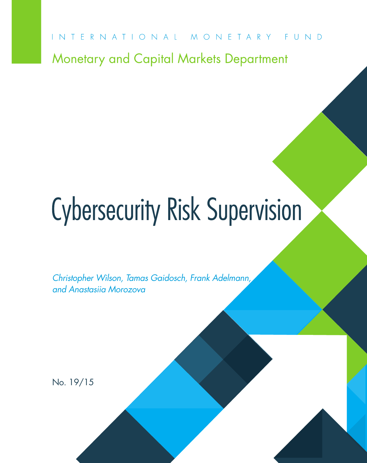INTERNATIONAL MONETARY FUND Monetary and Capital Markets Department

# Cybersecurity Risk Supervision

*Christopher Wilson, Tamas Gaidosch, Frank Adelmann, and Anastasiia Morozova*

No. 19/15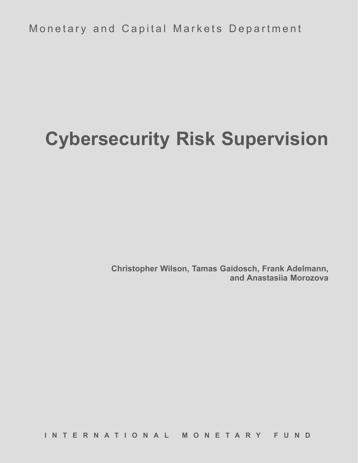Monetary and Capital Markets Department

## **Cybersecurity Risk Supervision**

**Christopher Wilson, Tamas Gaidosch, Frank Adelmann, and Anastasiia Morozova**

**INTERNATIONAL MONETARY FUND**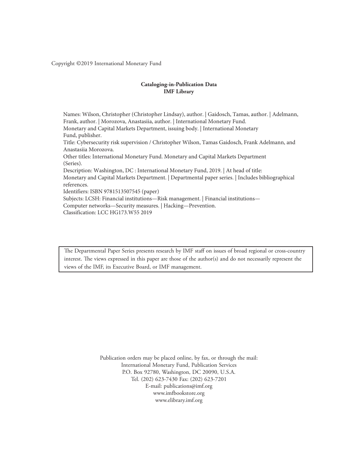Copyright ©2019 International Monetary Fund

#### **Cataloging-in-Publication Data IMF Library**

Names: Wilson, Christopher (Christopher Lindsay), author. | Gaidosch, Tamas, author. | Adelmann, Frank, author. | Morozova, Anastasiia, author. | International Monetary Fund. Monetary and Capital Markets Department, issuing body. | International Monetary Fund, publisher. Title: Cybersecurity risk supervision / Christopher Wilson, Tamas Gaidosch, Frank Adelmann, and Anastasiia Morozova. Other titles: International Monetary Fund. Monetary and Capital Markets Department (Series). Description: Washington, DC : International Monetary Fund, 2019. | At head of title: Monetary and Capital Markets Department. | Departmental paper series. | Includes bibliographical references. Identifiers: ISBN 9781513507545 (paper) Subjects: LCSH: Financial institutions—Risk management. | Financial institutions— Computer networks—Security measures. | Hacking—Prevention. Classification: LCC HG173.W55 2019

The Departmental Paper Series presents research by IMF staff on issues of broad regional or cross-country interest. The views expressed in this paper are those of the author(s) and do not necessarily represent the views of the IMF, its Executive Board, or IMF management.

> Publication orders may be placed online, by fax, or through the mail: International Monetary Fund, Publication Services P.O. Box 92780, Washington, DC 20090, U.S.A. Tel. (202) 623-7430 Fax: (202) 623-7201 E-mail: publications@imf.org www.imfbookstore.org www.elibrary.imf.org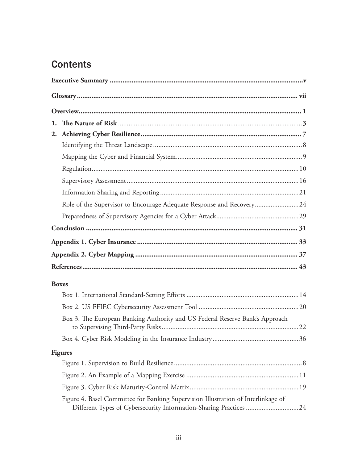## **Contents**

| 1. |                                                                                                                                                         |  |  |  |  |
|----|---------------------------------------------------------------------------------------------------------------------------------------------------------|--|--|--|--|
|    |                                                                                                                                                         |  |  |  |  |
|    |                                                                                                                                                         |  |  |  |  |
|    |                                                                                                                                                         |  |  |  |  |
|    |                                                                                                                                                         |  |  |  |  |
|    |                                                                                                                                                         |  |  |  |  |
|    |                                                                                                                                                         |  |  |  |  |
|    | Role of the Supervisor to Encourage Adequate Response and Recovery24                                                                                    |  |  |  |  |
|    |                                                                                                                                                         |  |  |  |  |
|    |                                                                                                                                                         |  |  |  |  |
|    |                                                                                                                                                         |  |  |  |  |
|    |                                                                                                                                                         |  |  |  |  |
|    |                                                                                                                                                         |  |  |  |  |
|    | <b>Boxes</b>                                                                                                                                            |  |  |  |  |
|    |                                                                                                                                                         |  |  |  |  |
|    |                                                                                                                                                         |  |  |  |  |
|    | Box 3. The European Banking Authority and US Federal Reserve Bank's Approach                                                                            |  |  |  |  |
|    |                                                                                                                                                         |  |  |  |  |
|    | <b>Figures</b>                                                                                                                                          |  |  |  |  |
|    |                                                                                                                                                         |  |  |  |  |
|    |                                                                                                                                                         |  |  |  |  |
|    |                                                                                                                                                         |  |  |  |  |
|    | Figure 4. Basel Committee for Banking Supervision Illustration of Interlinkage of<br>Different Types of Cybersecurity Information-Sharing Practices  24 |  |  |  |  |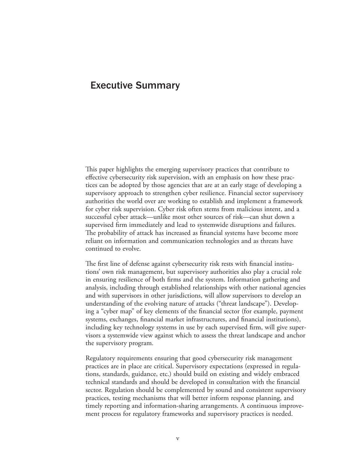#### Executive Summary

This paper highlights the emerging supervisory practices that contribute to effective cybersecurity risk supervision, with an emphasis on how these practices can be adopted by those agencies that are at an early stage of developing a supervisory approach to strengthen cyber resilience. Financial sector supervisory authorities the world over are working to establish and implement a framework for cyber risk supervision. Cyber risk often stems from malicious intent, and a successful cyber attack—unlike most other sources of risk—can shut down a supervised firm immediately and lead to systemwide disruptions and failures. The probability of attack has increased as financial systems have become more reliant on information and communication technologies and as threats have continued to evolve.

The first line of defense against cybersecurity risk rests with financial institutions' own risk management, but supervisory authorities also play a crucial role in ensuring resilience of both firms and the system. Information gathering and analysis, including through established relationships with other national agencies and with supervisors in other jurisdictions, will allow supervisors to develop an understanding of the evolving nature of attacks ("threat landscape"). Developing a "cyber map" of key elements of the financial sector (for example, payment systems, exchanges, financial market infrastructures, and financial institutions), including key technology systems in use by each supervised firm, will give supervisors a systemwide view against which to assess the threat landscape and anchor the supervisory program.

Regulatory requirements ensuring that good cybersecurity risk management practices are in place are critical. Supervisory expectations (expressed in regulations, standards, guidance, etc.) should build on existing and widely embraced technical standards and should be developed in consultation with the financial sector. Regulation should be complemented by sound and consistent supervisory practices, testing mechanisms that will better inform response planning, and timely reporting and information-sharing arrangements. A continuous improvement process for regulatory frameworks and supervisory practices is needed.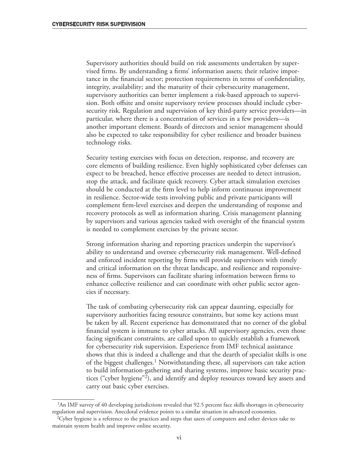Supervisory authorities should build on risk assessments undertaken by supervised firms. By understanding a firms' information assets; their relative importance in the financial sector; protection requirements in terms of confidentiality, integrity, availability; and the maturity of their cybersecurity management, supervisory authorities can better implement a risk-based approach to supervision. Both offsite and onsite supervisory review processes should include cybersecurity risk. Regulation and supervision of key third-party service providers—in particular, where there is a concentration of services in a few providers—is another important element. Boards of directors and senior management should also be expected to take responsibility for cyber resilience and broader business technology risks.

Security testing exercises with focus on detection, response, and recovery are core elements of building resilience. Even highly sophisticated cyber defenses can expect to be breached, hence effective processes are needed to detect intrusion, stop the attack, and facilitate quick recovery. Cyber attack simulation exercises should be conducted at the firm level to help inform continuous improvement in resilience. Sector-wide tests involving public and private participants will complement firm-level exercises and deepen the understanding of response and recovery protocols as well as information sharing. Crisis management planning by supervisors and various agencies tasked with oversight of the financial system is needed to complement exercises by the private sector.

Strong information sharing and reporting practices underpin the supervisor's ability to understand and oversee cybersecurity risk management. Well-defined and enforced incident reporting by firms will provide supervisors with timely and critical information on the threat landscape, and resilience and responsiveness of firms. Supervisors can facilitate sharing information between firms to enhance collective resilience and can coordinate with other public sector agencies if necessary.

The task of combating cybersecurity risk can appear daunting, especially for supervisory authorities facing resource constraints, but some key actions must be taken by all. Recent experience has demonstrated that no corner of the global financial system is immune to cyber attacks. All supervisory agencies, even those facing significant constraints, are called upon to quickly establish a framework for cybersecurity risk supervision. Experience from IMF technical assistance shows that this is indeed a challenge and that the dearth of specialist skills is one of the biggest challenges.<sup>1</sup> Notwithstanding these, all supervisors can take action to build information-gathering and sharing systems, improve basic security practices ("cyber hygiene"2), and identify and deploy resources toward key assets and carry out basic cyber exercises.

<sup>&</sup>lt;sup>1</sup>An IMF survey of 40 developing jurisdictions revealed that 92.5 percent face skills shortages in cybersecurity regulation and supervision. Anecdotal evidence points to a similar situation in advanced economies.

<sup>&</sup>lt;sup>2</sup>Cyber hygiene is a reference to the practices and steps that users of computers and other devices take to maintain system health and improve online security.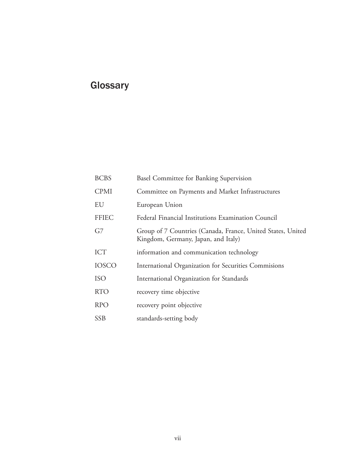## **Glossary**

| <b>BCBS</b>  | Basel Committee for Banking Supervision                                                            |
|--------------|----------------------------------------------------------------------------------------------------|
| <b>CPMI</b>  | Committee on Payments and Market Infrastructures                                                   |
| EU           | European Union                                                                                     |
| <b>FFIEC</b> | Federal Financial Institutions Examination Council                                                 |
| G7           | Group of 7 Countries (Canada, France, United States, United<br>Kingdom, Germany, Japan, and Italy) |
| <b>ICT</b>   | information and communication technology                                                           |
| <b>IOSCO</b> | International Organization for Securities Commisions                                               |
| <b>ISO</b>   | International Organization for Standards                                                           |
| <b>RTO</b>   | recovery time objective                                                                            |
| <b>RPO</b>   | recovery point objective                                                                           |
| <b>SSB</b>   | standards-setting body                                                                             |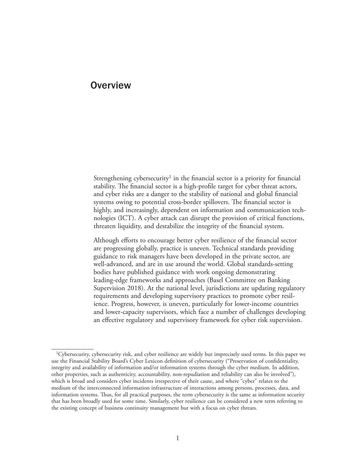#### **Overview**

Strengthening cybersecurity<sup>1</sup> in the financial sector is a priority for financial stability. The financial sector is a high-profile target for cyber threat actors, and cyber risks are a danger to the stability of national and global financial systems owing to potential cross-border spillovers. The financial sector is highly, and increasingly, dependent on information and communication technologies (ICT). A cyber attack can disrupt the provision of critical functions, threaten liquidity, and destabilize the integrity of the financial system.

Although efforts to encourage better cyber resilience of the financial sector are progressing globally, practice is uneven. Technical standards providing guidance to risk managers have been developed in the private sector, are well-advanced, and are in use around the world. Global standards-setting bodies have published guidance with work ongoing demonstrating leading-edge frameworks and approaches (Basel Committee on Banking Supervision 2018). At the national level, jurisdictions are updating regulatory requirements and developing supervisory practices to promote cyber resilience. Progress, however, is uneven, particularly for lower-income countries and lower-capacity supervisors, which face a number of challenges developing an effective regulatory and supervisory framework for cyber risk supervision.

<sup>&</sup>lt;sup>1</sup>Cybersecurity, cybersecurity risk, and cyber resilience are widely but imprecisely used terms. In this paper we use the Financial Stability Board's Cyber Lexicon definition of cybersecurity ("Preservation of confidentiality, integrity and availability of information and/or information systems through the cyber medium. In addition, other properties, such as authenticity, accountability, non-repudiation and reliability can also be involved"), which is broad and considers cyber incidents irrespective of their cause, and where "cyber" relates to the medium of the interconnected information infrastructure of interactions among persons, processes, data, and information systems. Thus, for all practical purposes, the term cybersecurity is the same as information security that has been broadly used for some time. Similarly, cyber resilience can be considered a new term referring to the existing concept of business continuity management but with a focus on cyber threats.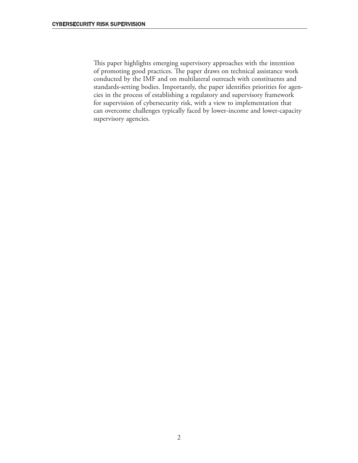This paper highlights emerging supervisory approaches with the intention of promoting good practices. The paper draws on technical assistance work conducted by the IMF and on multilateral outreach with constituents and standards-setting bodies. Importantly, the paper identifies priorities for agencies in the process of establishing a regulatory and supervisory framework for supervision of cybersecurity risk, with a view to implementation that can overcome challenges typically faced by lower-income and lower-capacity supervisory agencies.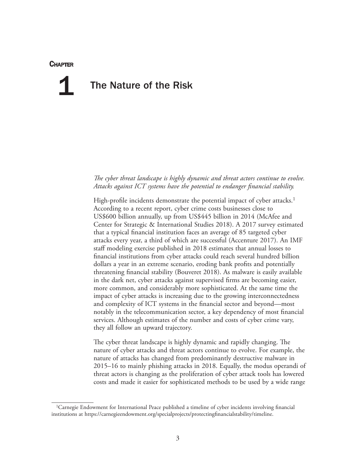#### **CHAPTER**

## The Nature of the Risk 1

#### *The cyber threat landscape is highly dynamic and threat actors continue to evolve. Attacks against ICT systems have the potential to endanger financial stability.*

High-profile incidents demonstrate the potential impact of cyber attacks.<sup>1</sup> According to a recent report, cyber crime costs businesses close to US\$600 billion annually, up from US\$445 billion in 2014 (McAfee and Center for Strategic & International Studies 2018). A 2017 survey estimated that a typical financial institution faces an average of 85 targeted cyber attacks every year, a third of which are successful (Accenture 2017). An IMF staff modeling exercise published in 2018 estimates that annual losses to financial institutions from cyber attacks could reach several hundred billion dollars a year in an extreme scenario, eroding bank profits and potentially threatening financial stability (Bouveret 2018). As malware is easily available in the dark net, cyber attacks against supervised firms are becoming easier, more common, and considerably more sophisticated. At the same time the impact of cyber attacks is increasing due to the growing interconnectedness and complexity of ICT systems in the financial sector and beyond—most notably in the telecommunication sector, a key dependency of most financial services. Although estimates of the number and costs of cyber crime vary, they all follow an upward trajectory.

The cyber threat landscape is highly dynamic and rapidly changing. The nature of cyber attacks and threat actors continue to evolve. For example, the nature of attacks has changed from predominantly destructive malware in 2015–16 to mainly phishing attacks in 2018. Equally, the modus operandi of threat actors is changing as the proliferation of cyber attack tools has lowered costs and made it easier for sophisticated methods to be used by a wide range

<sup>1</sup>Carnegie Endowment for International Peace published a timeline of cyber incidents involving financial institutions at https://carnegieendowment.org/specialprojects/protectingfinancialstability/timeline.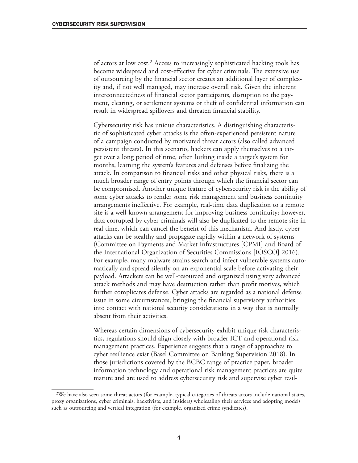of actors at low cost.2 Access to increasingly sophisticated hacking tools has become widespread and cost-effective for cyber criminals. The extensive use of outsourcing by the financial sector creates an additional layer of complexity and, if not well managed, may increase overall risk. Given the inherent interconnectedness of financial sector participants, disruption to the payment, clearing, or settlement systems or theft of confidential information can result in widespread spillovers and threaten financial stability.

Cybersecurity risk has unique characteristics. A distinguishing characteristic of sophisticated cyber attacks is the often-experienced persistent nature of a campaign conducted by motivated threat actors (also called advanced persistent threats). In this scenario, hackers can apply themselves to a target over a long period of time, often lurking inside a target's system for months, learning the system's features and defenses before finalizing the attack. In comparison to financial risks and other physical risks, there is a much broader range of entry points through which the financial sector can be compromised. Another unique feature of cybersecurity risk is the ability of some cyber attacks to render some risk management and business continuity arrangements ineffective. For example, real-time data duplication to a remote site is a well-known arrangement for improving business continuity; however, data corrupted by cyber criminals will also be duplicated to the remote site in real time, which can cancel the benefit of this mechanism. And lastly, cyber attacks can be stealthy and propagate rapidly within a network of systems (Committee on Payments and Market Infrastructures [CPMI] and Board of the International Organization of Securities Commissions [IOSCO] 2016). For example, many malware strains search and infect vulnerable systems automatically and spread silently on an exponential scale before activating their payload. Attackers can be well-resourced and organized using very advanced attack methods and may have destruction rather than profit motives, which further complicates defense. Cyber attacks are regarded as a national defense issue in some circumstances, bringing the financial supervisory authorities into contact with national security considerations in a way that is normally absent from their activities.

Whereas certain dimensions of cybersecurity exhibit unique risk characteristics, regulations should align closely with broader ICT and operational risk management practices. Experience suggests that a range of approaches to cyber resilience exist (Basel Committee on Banking Supervision 2018). In those jurisdictions covered by the BCBC range of practice paper, broader information technology and operational risk management practices are quite mature and are used to address cybersecurity risk and supervise cyber resil-

<sup>&</sup>lt;sup>2</sup>We have also seen some threat actors (for example, typical categories of threats actors include national states, proxy organizations, cyber criminals, hacktivists, and insiders) wholesaling their services and adopting models such as outsourcing and vertical integration (for example, organized crime syndicates).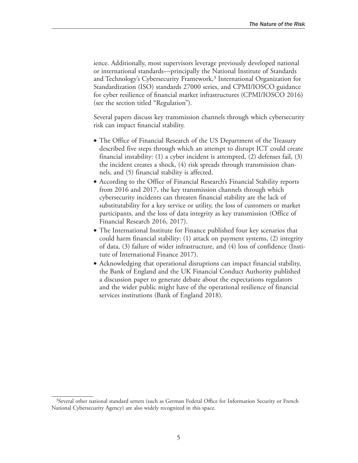ience. Additionally, most supervisors leverage previously developed national or international standards—principally the National Institute of Standards and Technology's Cybersecurity Framework, $3$  International Organization for Standardization (ISO) standards 27000 series, and CPMI/IOSCO guidance for cyber resilience of financial market infrastructures (CPMI/IOSCO 2016) (see the section titled "Regulation").

Several papers discuss key transmission channels through which cybersecurity risk can impact financial stability.

- The Office of Financial Research of the US Department of the Treasury described five steps through which an attempt to disrupt ICT could create financial instability: (1) a cyber incident is attempted, (2) defenses fail, (3) the incident creates a shock, (4) risk spreads through transmission channels, and (5) financial stability is affected.
- According to the Office of Financial Research's Financial Stability reports from 2016 and 2017, the key transmission channels through which cybersecurity incidents can threaten financial stability are the lack of substitutability for a key service or utility, the loss of customers or market participants, and the loss of data integrity as key transmission (Office of Financial Research 2016, 2017).
- The International Institute for Finance published four key scenarios that could harm financial stability: (1) attack on payment systems, (2) integrity of data, (3) failure of wider infrastructure, and (4) loss of confidence (Institute of International Finance 2017).
- Acknowledging that operational disruptions can impact financial stability, the Bank of England and the UK Financial Conduct Authority published a discussion paper to generate debate about the expectations regulators and the wider public might have of the operational resilience of financial services institutions (Bank of England 2018).

<sup>&</sup>lt;sup>3</sup>Several other national standard setters (such as German Federal Office for Information Security or French National Cybersecurity Agency) are also widely recognized in this space.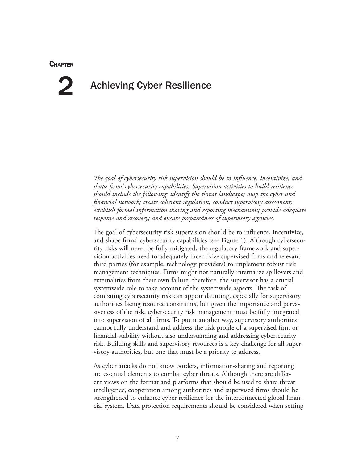#### **CHAPTER**

## Achieving Cyber Resilience 2

*The goal of cybersecurity risk supervision should be to influence, incentivize, and shape firms' cybersecurity capabilities. Supervision activities to build resilience should include the following: identify the threat landscape; map the cyber and financial network; create coherent regulation; conduct supervisory assessment; establish formal information sharing and reporting mechanisms; provide adequate response and recovery; and ensure preparedness of supervisory agencies.*

The goal of cybersecurity risk supervision should be to influence, incentivize, and shape firms' cybersecurity capabilities (see Figure 1). Although cybersecurity risks will never be fully mitigated, the regulatory framework and supervision activities need to adequately incentivize supervised firms and relevant third parties (for example, technology providers) to implement robust risk management techniques. Firms might not naturally internalize spillovers and externalities from their own failure; therefore, the supervisor has a crucial systemwide role to take account of the systemwide aspects. The task of combating cybersecurity risk can appear daunting, especially for supervisory authorities facing resource constraints, but given the importance and pervasiveness of the risk, cybersecurity risk management must be fully integrated into supervision of all firms. To put it another way, supervisory authorities cannot fully understand and address the risk profile of a supervised firm or financial stability without also understanding and addressing cybersecurity risk. Building skills and supervisory resources is a key challenge for all supervisory authorities, but one that must be a priority to address.

As cyber attacks do not know borders, information-sharing and reporting are essential elements to combat cyber threats. Although there are different views on the format and platforms that should be used to share threat intelligence, cooperation among authorities and supervised firms should be strengthened to enhance cyber resilience for the interconnected global financial system. Data protection requirements should be considered when setting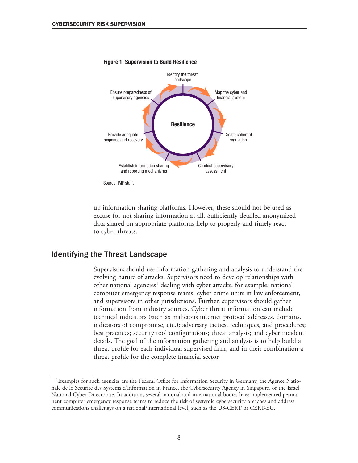

#### Figure 1. Supervision to Build Resilience

up information-sharing platforms. However, these should not be used as excuse for not sharing information at all. Sufficiently detailed anonymized data shared on appropriate platforms help to properly and timely react to cyber threats.

#### Identifying the Threat Landscape

Supervisors should use information gathering and analysis to understand the evolving nature of attacks. Supervisors need to develop relationships with other national agencies<sup>1</sup> dealing with cyber attacks, for example, national computer emergency response teams, cyber crime units in law enforcement, and supervisors in other jurisdictions. Further, supervisors should gather information from industry sources. Cyber threat information can include technical indicators (such as malicious internet protocol addresses, domains, indicators of compromise, etc.); adversary tactics, techniques, and procedures; best practices; security tool configurations; threat analysis; and cyber incident details. The goal of the information gathering and analysis is to help build a threat profile for each individual supervised firm, and in their combination a threat profile for the complete financial sector.

<sup>&</sup>lt;sup>1</sup>Examples for such agencies are the Federal Office for Information Security in Germany, the Agence Nationale de le Securite des Systems d'Information in France, the Cybersecurity Agency in Singapore, or the Israel National Cyber Directorate. In addition, several national and international bodies have implemented permanent computer emergency response teams to reduce the risk of systemic cybersecurity breaches and address communications challenges on a national/international level, such as the US-CERT or CERT-EU.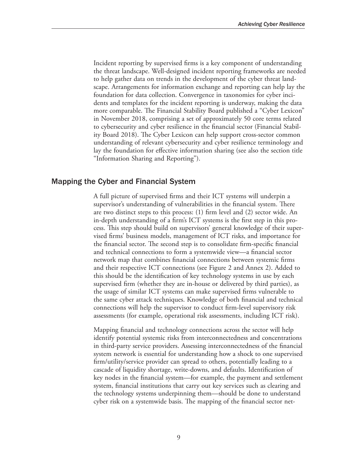Incident reporting by supervised firms is a key component of understanding the threat landscape. Well-designed incident reporting frameworks are needed to help gather data on trends in the development of the cyber threat landscape. Arrangements for information exchange and reporting can help lay the foundation for data collection. Convergence in taxonomies for cyber incidents and templates for the incident reporting is underway, making the data more comparable. The Financial Stability Board published a "Cyber Lexicon" in November 2018, comprising a set of approximately 50 core terms related to cybersecurity and cyber resilience in the financial sector (Financial Stability Board 2018). The Cyber Lexicon can help support cross-sector common understanding of relevant cybersecurity and cyber resilience terminology and lay the foundation for effective information sharing (see also the section title "Information Sharing and Reporting").

#### Mapping the Cyber and Financial System

A full picture of supervised firms and their ICT systems will underpin a supervisor's understanding of vulnerabilities in the financial system. There are two distinct steps to this process: (1) firm level and (2) sector wide. An in-depth understanding of a firm's ICT systems is the first step in this process. This step should build on supervisors' general knowledge of their supervised firms' business models, management of ICT risks, and importance for the financial sector. The second step is to consolidate firm-specific financial and technical connections to form a systemwide view—a financial sector network map that combines financial connections between systemic firms and their respective ICT connections (see Figure 2 and Annex 2). Added to this should be the identification of key technology systems in use by each supervised firm (whether they are in-house or delivered by third parties), as the usage of similar ICT systems can make supervised firms vulnerable to the same cyber attack techniques. Knowledge of both financial and technical connections will help the supervisor to conduct firm-level supervisory risk assessments (for example, operational risk assessments, including ICT risk).

Mapping financial and technology connections across the sector will help identify potential systemic risks from interconnectedness and concentrations in third-party service providers. Assessing interconnectedness of the financial system network is essential for understanding how a shock to one supervised firm/utility/service provider can spread to others, potentially leading to a cascade of liquidity shortage, write-downs, and defaults. Identification of key nodes in the financial system—for example, the payment and settlement system, financial institutions that carry out key services such as clearing and the technology systems underpinning them—should be done to understand cyber risk on a systemwide basis. The mapping of the financial sector net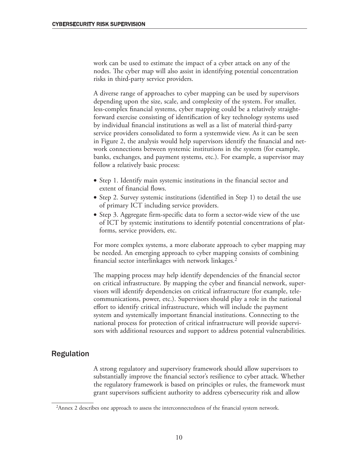work can be used to estimate the impact of a cyber attack on any of the nodes. The cyber map will also assist in identifying potential concentration risks in third-party service providers.

A diverse range of approaches to cyber mapping can be used by supervisors depending upon the size, scale, and complexity of the system. For smaller, less-complex financial systems, cyber mapping could be a relatively straightforward exercise consisting of identification of key technology systems used by individual financial institutions as well as a list of material third-party service providers consolidated to form a systemwide view. As it can be seen in Figure 2, the analysis would help supervisors identify the financial and network connections between systemic institutions in the system (for example, banks, exchanges, and payment systems, etc.). For example, a supervisor may follow a relatively basic process:

- Step 1. Identify main systemic institutions in the financial sector and extent of financial flows.
- Step 2. Survey systemic institutions (identified in Step 1) to detail the use of primary ICT including service providers.
- Step 3. Aggregate firm-specific data to form a sector-wide view of the use of ICT by systemic institutions to identify potential concentrations of platforms, service providers, etc.

For more complex systems, a more elaborate approach to cyber mapping may be needed. An emerging approach to cyber mapping consists of combining financial sector interlinkages with network linkages.2

The mapping process may help identify dependencies of the financial sector on critical infrastructure. By mapping the cyber and financial network, supervisors will identify dependencies on critical infrastructure (for example, telecommunications, power, etc.). Supervisors should play a role in the national effort to identify critical infrastructure, which will include the payment system and systemically important financial institutions. Connecting to the national process for protection of critical infrastructure will provide supervisors with additional resources and support to address potential vulnerabilities.

#### Regulation

A strong regulatory and supervisory framework should allow supervisors to substantially improve the financial sector's resilience to cyber attack. Whether the regulatory framework is based on principles or rules, the framework must grant supervisors sufficient authority to address cybersecurity risk and allow

<sup>2</sup>Annex 2 describes one approach to assess the interconnectedness of the financial system network.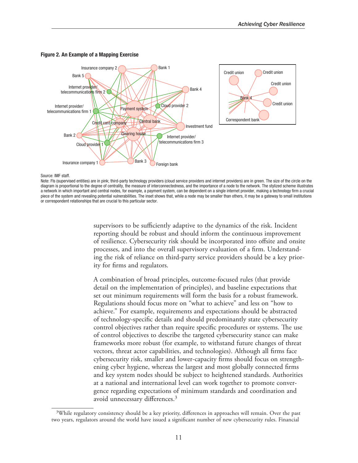

#### Figure 2. An Example of a Mapping Exercise

#### Source: IMF staff.

Note: FIs (supervised entities) are in pink; third-party technology providers (cloud service providers and internet providers) are in green. The size of the circle on the diagram is proportional to the degree of centrality, the measure of interconnectedness, and the importance of a node to the network. The stylized scheme illustrates a network in which important and central nodes, for example, a payment system, can be dependent on a single internet provider, making a technology firm a crucial piece of the system and revealing potential vulnerabilities. The inset shows that, while a node may be smaller than others, it may be a gateway to small institutions or correspondent relationships that are crucial to this particular sector.

> supervisors to be sufficiently adaptive to the dynamics of the risk. Incident reporting should be robust and should inform the continuous improvement of resilience. Cybersecurity risk should be incorporated into offsite and onsite processes, and into the overall supervisory evaluation of a firm. Understanding the risk of reliance on third-party service providers should be a key priority for firms and regulators.

> A combination of broad principles, outcome-focused rules (that provide detail on the implementation of principles), and baseline expectations that set out minimum requirements will form the basis for a robust framework. Regulations should focus more on "what to achieve" and less on "how to achieve." For example, requirements and expectations should be abstracted of technology-specific details and should predominantly state cybersecurity control objectives rather than require specific procedures or systems. The use of control objectives to describe the targeted cybersecurity stance can make frameworks more robust (for example, to withstand future changes of threat vectors, threat actor capabilities, and technologies). Although all firms face cybersecurity risk, smaller and lower-capacity firms should focus on strengthening cyber hygiene, whereas the largest and most globally connected firms and key system nodes should be subject to heightened standards. Authorities at a national and international level can work together to promote convergence regarding expectations of minimum standards and coordination and avoid unnecessary differences.<sup>3</sup>

<sup>&</sup>lt;sup>3</sup>While regulatory consistency should be a key priority, differences in approaches will remain. Over the past two years, regulators around the world have issued a significant number of new cybersecurity rules. Financial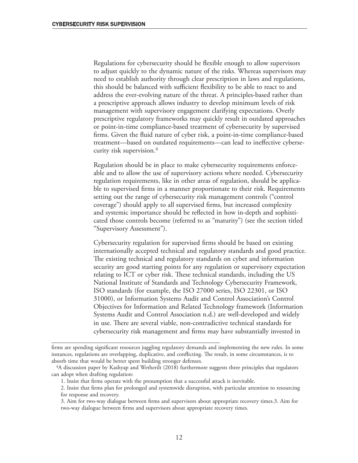Regulations for cybersecurity should be flexible enough to allow supervisors to adjust quickly to the dynamic nature of the risks. Whereas supervisors may need to establish authority through clear prescription in laws and regulations, this should be balanced with sufficient flexibility to be able to react to and address the ever-evolving nature of the threat. A principles-based rather than a prescriptive approach allows industry to develop minimum levels of risk management with supervisory engagement clarifying expectations. Overly prescriptive regulatory frameworks may quickly result in outdated approaches or point-in-time compliance-based treatment of cybersecurity by supervised firms. Given the fluid nature of cyber risk, a point-in-time compliance-based treatment—based on outdated requirements—can lead to ineffective cybersecurity risk supervision.<sup>4</sup>

Regulation should be in place to make cybersecurity requirements enforceable and to allow the use of supervisory actions where needed. Cybersecurity regulation requirements, like in other areas of regulation, should be applicable to supervised firms in a manner proportionate to their risk. Requirements setting out the range of cybersecurity risk management controls ("control coverage") should apply to all supervised firms, but increased complexity and systemic importance should be reflected in how in-depth and sophisticated those controls become (referred to as "maturity") (see the section titled "Supervisory Assessment").

Cybersecurity regulation for supervised firms should be based on existing internationally accepted technical and regulatory standards and good practice. The existing technical and regulatory standards on cyber and information security are good starting points for any regulation or supervisory expectation relating to ICT or cyber risk. These technical standards, including the US National Institute of Standards and Technology Cybersecurity Framework, ISO standards (for example, the ISO 27000 series, ISO 22301, or ISO 31000), or Information Systems Audit and Control Association's Control Objectives for Information and Related Technology framework (Information Systems Audit and Control Association n.d.) are well-developed and widely in use. There are several viable, non-contradictive technical standards for cybersecurity risk management and firms may have substantially invested in

firms are spending significant resources juggling regulatory demands and implementing the new rules. In some instances, regulations are overlapping, duplicative, and conflicting. The result, in some circumstances, is to absorb time that would be better spent building stronger defenses.

<sup>4</sup>A discussion paper by Kashyap and Wetherilt (2018) furthermore suggests three principles that regulators can adopt when drafting regulation:

<sup>1.</sup> Insist that firms operate with the presumption that a successful attack is inevitable.

<sup>2.</sup> Insist that firms plan for prolonged and systemwide disruption, with particular attention to resourcing for response and recovery.

<sup>3.</sup> Aim for two-way dialogue between firms and supervisors about appropriate recovery times.3. Aim for two-way dialogue between firms and supervisors about appropriate recovery times.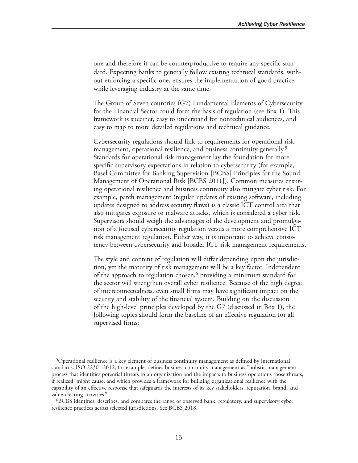one and therefore it can be counterproductive to require any specific standard. Expecting banks to generally follow existing technical standards, without enforcing a specific one, ensures the implementation of good practice while leveraging industry at the same time.

The Group of Seven countries (G7) Fundamental Elements of Cybersecurity for the Financial Sector could form the basis of regulation (see Box 1). This framework is succinct, easy to understand for nontechnical audiences, and easy to map to more detailed regulations and technical guidance.

Cybersecurity regulations should link to requirements for operational risk management, operational resilience, and business continuity generally.<sup>5</sup> Standards for operational risk management lay the foundation for more specific supervisory expectations in relation to cybersecurity (for example, Basel Committee for Banking Supervision [BCBS] Principles for the Sound Management of Operational Risk [BCBS 2011]). Common measures ensuring operational resilience and business continuity also mitigate cyber risk. For example, patch management (regular updates of existing software, including updates designed to address security flaws) is a classic ICT control area that also mitigates exposure to malware attacks, which is considered a cyber risk. Supervisors should weigh the advantages of the development and promulgation of a focused cybersecurity regulation versus a more comprehensive ICT risk management regulation. Either way, it is important to achieve consistency between cybersecurity and broader ICT risk management requirements.

The style and content of regulation will differ depending upon the jurisdiction, yet the maturity of risk management will be a key factor. Independent of the approach to regulation chosen, $6$  providing a minimum standard for the sector will strengthen overall cyber resilience. Because of the high degree of interconnectedness, even small firms may have significant impact on the security and stability of the financial system. Building on the discussion of the high-level principles developed by the G7 (discussed in Box 1), the following topics should form the baseline of an effective regulation for all supervised firms:

<sup>5</sup>Operational resilience is a key element of business continuity management as defined by international standards. ISO 22301:2012, for example, defines business continuity management as "holistic management process that identifies potential threats to an organization and the impacts to business operations those threats, if realized, might cause, and which provides a framework for building organizational resilience with the capability of an effective response that safeguards the interests of its key stakeholders, reputation, brand, and value-creating activities."

<sup>6</sup>BCBS identifies, describes, and compares the range of observed bank, regulatory, and supervisory cyber resilience practices across selected jurisdictions. See BCBS 2018.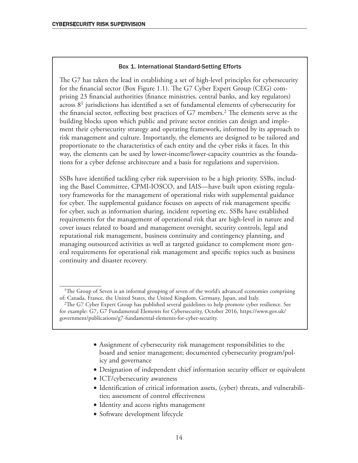#### Box 1. International Standard-Setting Efforts

The G7 has taken the lead in establishing a set of high-level principles for cybersecurity for the financial sector (Box Figure 1.1). The G7 Cyber Expert Group (CEG) comprising 23 financial authorities (finance ministries, central banks, and key regulators) across  $8<sup>1</sup>$  jurisdictions has identified a set of fundamental elements of cybersecurity for the financial sector, reflecting best practices of G7 members.2 The elements serve as the building blocks upon which public and private sector entities can design and implement their cybersecurity strategy and operating framework, informed by its approach to risk management and culture. Importantly, the elements are designed to be tailored and proportionate to the characteristics of each entity and the cyber risks it faces. In this way, the elements can be used by lower-income/lower-capacity countries as the foundations for a cyber defense architecture and a basis for regulations and supervision.

SSBs have identified tackling cyber risk supervision to be a high priority. SSBs, including the Basel Committee, CPMI-IOSCO, and IAIS—have built upon existing regulatory frameworks for the management of operational risks with supplemental guidance for cyber. The supplemental guidance focuses on aspects of risk management specific for cyber, such as information sharing, incident reporting etc. SSBs have established requirements for the management of operational risk that are high-level in nature and cover issues related to board and management oversight, security controls, legal and reputational risk management, business continuity and contingency planning, and managing outsourced activities as well as targeted guidance to complement more general requirements for operational risk management and specific topics such as business continuity and disaster recovery.

- Assignment of cybersecurity risk management responsibilities to the board and senior management; documented cybersecurity program/policy and governance
- Designation of independent chief information security officer or equivalent
- ICT/cybersecurity awareness
- Identification of critical information assets, (cyber) threats, and vulnerabilities; assessment of control effectiveness
- Identity and access rights management
- Software development lifecycle

<sup>&</sup>lt;sup>1</sup>The Group of Seven is an informal grouping of seven of the world's advanced economies comprising of: Canada, France, the United States, the United Kingdom, Germany, Japan, and Italy.

<sup>2</sup>The G7 Cyber Expert Group has published several guidelines to help promote cyber resilience. See for example: G7, G7 Fundamental Elements for Cybersecurity, October 2016, https://www.gov.uk/ government/publications/g7-fundamental-elements-for-cyber-security.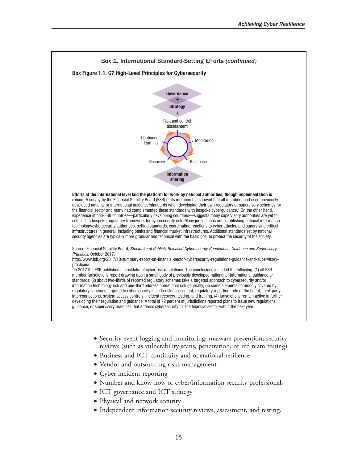

- Security event logging and monitoring; malware prevention; security reviews (such as vulnerability scans, penetration, or red team testing)
- Business and ICT continuity and operational resilience
- Vendor and outsourcing risks management
- Cyber incident reporting
- Number and know-how of cyber/information security professionals
- ICT governance and ICT strategy
- Physical and network security
- Independent information security reviews, assessment, and testing.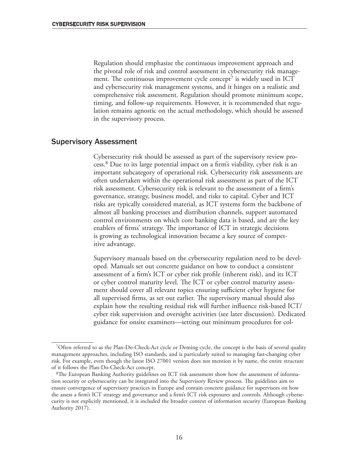Regulation should emphasize the continuous improvement approach and the pivotal role of risk and control assessment in cybersecurity risk management. The continuous improvement cycle concept<sup>7</sup> is widely used in ICT and cybersecurity risk management systems, and it hinges on a realistic and comprehensive risk assessment. Regulation should promote minimum scope, timing, and follow-up requirements. However, it is recommended that regulation remains agnostic on the actual methodology, which should be assessed in the supervisory process.

#### Supervisory Assessment

Cybersecurity risk should be assessed as part of the supervisory review process.8 Due to its large potential impact on a firm's viability, cyber risk is an important subcategory of operational risk. Cybersecurity risk assessments are often undertaken within the operational risk assessment as part of the ICT risk assessment. Cybersecurity risk is relevant to the assessment of a firm's governance, strategy, business model, and risks to capital. Cyber and ICT risks are typically considered material, as ICT systems form the backbone of almost all banking processes and distribution channels, support automated control environments on which core banking data is based, and are the key enablers of firms' strategy. The importance of ICT in strategic decisions is growing as technological innovation became a key source of competitive advantage.

Supervisory manuals based on the cybersecurity regulation need to be developed. Manuals set out concrete guidance on how to conduct a consistent assessment of a firm's ICT or cyber risk profile (inherent risk), and its ICT or cyber control maturity level. The ICT or cyber control maturity assessment should cover all relevant topics ensuring sufficient cyber hygiene for all supervised firms, as set out earlier. The supervisory manual should also explain how the resulting residual risk will further influence risk-based ICT/ cyber risk supervision and oversight activities (see later discussion). Dedicated guidance for onsite examiners—setting out minimum procedures for col-

<sup>7</sup>Often referred to as the Plan-Do-Check-Act cycle or Deming cycle, the concept is the basis of several quality management approaches, including ISO standards, and is particularly suited to managing fast-changing cyber risk. For example, even though the latest ISO 27001 version does not mention it by name, the entire structure of it follows the Plan-Do-Check-Act concept.

<sup>8</sup>The European Banking Authority guidelines on ICT risk assessment show how the assessment of information security or cybersecurity can be integrated into the Supervisory Review process. The guidelines aim to ensure convergence of supervisory practices in Europe and contain concrete guidance for supervisors on how the assess a firm's ICT strategy and governance and a firm's ICT risk exposures and controls. Although cybersecurity is not explicitly mentioned, it is included the broader context of information security (European Banking Authority 2017).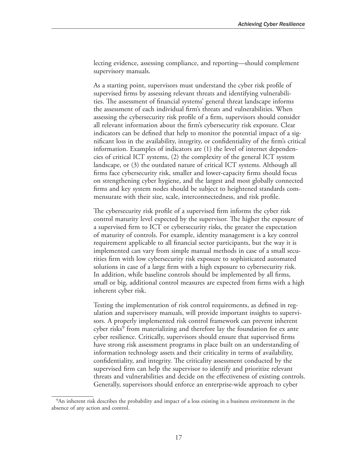lecting evidence, assessing compliance, and reporting—should complement supervisory manuals.

As a starting point, supervisors must understand the cyber risk profile of supervised firms by assessing relevant threats and identifying vulnerabilities. The assessment of financial systems' general threat landscape informs the assessment of each individual firm's threats and vulnerabilities. When assessing the cybersecurity risk profile of a firm, supervisors should consider all relevant information about the firm's cybersecurity risk exposure. Clear indicators can be defined that help to monitor the potential impact of a significant loss in the availability, integrity, or confidentiality of the firm's critical information. Examples of indicators are (1) the level of internet dependencies of critical ICT systems, (2) the complexity of the general ICT system landscape, or (3) the outdated nature of critical ICT systems. Although all firms face cybersecurity risk, smaller and lower-capacity firms should focus on strengthening cyber hygiene, and the largest and most globally connected firms and key system nodes should be subject to heightened standards commensurate with their size, scale, interconnectedness, and risk profile.

The cybersecurity risk profile of a supervised firm informs the cyber risk control maturity level expected by the supervisor. The higher the exposure of a supervised firm to ICT or cybersecurity risks, the greater the expectation of maturity of controls. For example, identity management is a key control requirement applicable to all financial sector participants, but the way it is implemented can vary from simple manual methods in case of a small securities firm with low cybersecurity risk exposure to sophisticated automated solutions in case of a large firm with a high exposure to cybersecurity risk. In addition, while baseline controls should be implemented by all firms, small or big, additional control measures are expected from firms with a high inherent cyber risk.

Testing the implementation of risk control requirements, as defined in regulation and supervisory manuals, will provide important insights to supervisors. A properly implemented risk control framework can prevent inherent cyber risks<sup>9</sup> from materializing and therefore lay the foundation for ex ante cyber resilience. Critically, supervisors should ensure that supervised firms have strong risk assessment programs in place built on an understanding of information technology assets and their criticality in terms of availability, confidentiality, and integrity. The criticality assessment conducted by the supervised firm can help the supervisor to identify and prioritize relevant threats and vulnerabilities and decide on the effectiveness of existing controls. Generally, supervisors should enforce an enterprise-wide approach to cyber

<sup>9</sup>An inherent risk describes the probability and impact of a loss existing in a business environment in the absence of any action and control.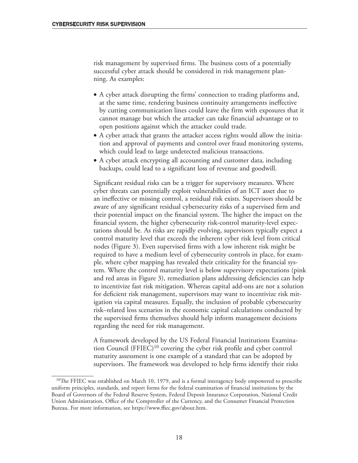risk management by supervised firms. The business costs of a potentially successful cyber attack should be considered in risk management planning. As examples:

- A cyber attack disrupting the firms' connection to trading platforms and, at the same time, rendering business continuity arrangements ineffective by cutting communication lines could leave the firm with exposures that it cannot manage but which the attacker can take financial advantage or to open positions against which the attacker could trade.
- A cyber attack that grants the attacker access rights would allow the initiation and approval of payments and control over fraud monitoring systems, which could lead to large undetected malicious transactions.
- A cyber attack encrypting all accounting and customer data, including backups, could lead to a significant loss of revenue and goodwill.

Significant residual risks can be a trigger for supervisory measures. Where cyber threats can potentially exploit vulnerabilities of an ICT asset due to an ineffective or missing control, a residual risk exists. Supervisors should be aware of any significant residual cybersecurity risks of a supervised firm and their potential impact on the financial system. The higher the impact on the financial system, the higher cybersecurity risk-control maturity-level expectations should be. As risks are rapidly evolving, supervisors typically expect a control maturity level that exceeds the inherent cyber risk level from critical nodes (Figure 3). Even supervised firms with a low inherent risk might be required to have a medium level of cybersecurity controls in place, for example, where cyber mapping has revealed their criticality for the financial system. Where the control maturity level is below supervisory expectations (pink and red areas in Figure 3), remediation plans addressing deficiencies can help to incentivize fast risk mitigation. Whereas capital add-ons are not a solution for deficient risk management, supervisors may want to incentivize risk mitigation via capital measures. Equally, the inclusion of probable cybersecurity risk–related loss scenarios in the economic capital calculations conducted by the supervised firms themselves should help inform management decisions regarding the need for risk management.

A framework developed by the US Federal Financial Institutions Examination Council (FFIEC)10 covering the cyber risk profile and cyber control maturity assessment is one example of a standard that can be adopted by supervisors. The framework was developed to help firms identify their risks

<sup>&</sup>lt;sup>10</sup>The FFIEC was established on March 10, 1979, and is a formal interagency body empowered to prescribe uniform principles, standards, and report forms for the federal examination of financial institutions by the Board of Governors of the Federal Reserve System, Federal Deposit Insurance Corporation, National Credit Union Administration, Office of the Comptroller of the Currency, and the Consumer Financial Protection Bureau. For more information, see https://www.ffiec.gov/about.htm.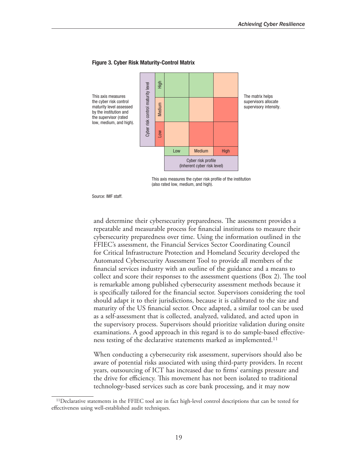

#### Figure 3. Cyber Risk Maturity-Control Matrix

This axis measures the cyber risk profile of the institution (also rated low, medium, and high).

Source: IMF staff.

and determine their cybersecurity preparedness. The assessment provides a repeatable and measurable process for financial institutions to measure their cybersecurity preparedness over time. Using the information outlined in the FFIEC's assessment, the Financial Services Sector Coordinating Council for Critical Infrastructure Protection and Homeland Security developed the Automated Cybersecurity Assessment Tool to provide all members of the financial services industry with an outline of the guidance and a means to collect and score their responses to the assessment questions (Box 2). The tool is remarkable among published cybersecurity assessment methods because it is specifically tailored for the financial sector. Supervisors considering the tool should adapt it to their jurisdictions, because it is calibrated to the size and maturity of the US financial sector. Once adapted, a similar tool can be used as a self-assessment that is collected, analyzed, validated, and acted upon in the supervisory process. Supervisors should prioritize validation during onsite examinations. A good approach in this regard is to do sample-based effectiveness testing of the declarative statements marked as implemented.<sup>11</sup>

When conducting a cybersecurity risk assessment, supervisors should also be aware of potential risks associated with using third-party providers. In recent years, outsourcing of ICT has increased due to firms' earnings pressure and the drive for efficiency. This movement has not been isolated to traditional technology-based services such as core bank processing, and it may now

<sup>&</sup>lt;sup>11</sup>Declarative statements in the FFIEC tool are in fact high-level control descriptions that can be tested for effectiveness using well-established audit techniques.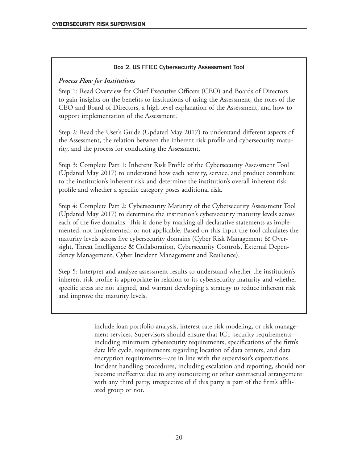#### Box 2. US FFIEC Cybersecurity Assessment Tool

#### *Process Flow for Institutions*

Step 1: Read Overview for Chief Executive Officers (CEO) and Boards of Directors to gain insights on the benefits to institutions of using the Assessment, the roles of the CEO and Board of Directors, a high-level explanation of the Assessment, and how to support implementation of the Assessment.

Step 2: Read the User's Guide (Updated May 2017) to understand different aspects of the Assessment, the relation between the inherent risk profile and cybersecurity maturity, and the process for conducting the Assessment.

Step 3: Complete Part 1: Inherent Risk Profile of the Cybersecurity Assessment Tool (Updated May 2017) to understand how each activity, service, and product contribute to the institution's inherent risk and determine the institution's overall inherent risk profile and whether a specific category poses additional risk.

Step 4: Complete Part 2: Cybersecurity Maturity of the Cybersecurity Assessment Tool (Updated May 2017) to determine the institution's cybersecurity maturity levels across each of the five domains. This is done by marking all declarative statements as implemented, not implemented, or not applicable. Based on this input the tool calculates the maturity levels across five cybersecurity domains (Cyber Risk Management & Oversight, Threat Intelligence & Collaboration, Cybersecurity Controls, External Dependency Management, Cyber Incident Management and Resilience).

Step 5: Interpret and analyze assessment results to understand whether the institution's inherent risk profile is appropriate in relation to its cybersecurity maturity and whether specific areas are not aligned, and warrant developing a strategy to reduce inherent risk and improve the maturity levels.

> include loan portfolio analysis, interest rate risk modeling, or risk management services. Supervisors should ensure that ICT security requirements including minimum cybersecurity requirements, specifications of the firm's data life cycle, requirements regarding location of data centers, and data encryption requirements—are in line with the supervisor's expectations. Incident handling procedures, including escalation and reporting, should not become ineffective due to any outsourcing or other contractual arrangement with any third party, irrespective of if this party is part of the firm's affiliated group or not.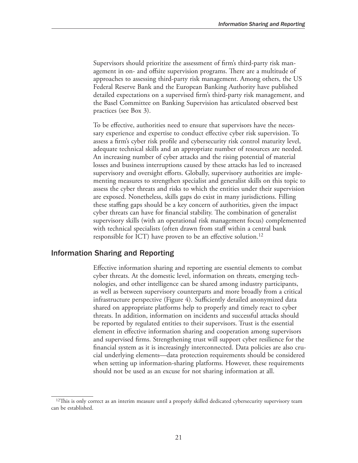Supervisors should prioritize the assessment of firm's third-party risk management in on- and offsite supervision programs. There are a multitude of approaches to assessing third-party risk management. Among others, the US Federal Reserve Bank and the European Banking Authority have published detailed expectations on a supervised firm's third-party risk management, and the Basel Committee on Banking Supervision has articulated observed best practices (see Box 3).

To be effective, authorities need to ensure that supervisors have the necessary experience and expertise to conduct effective cyber risk supervision. To assess a firm's cyber risk profile and cybersecurity risk control maturity level, adequate technical skills and an appropriate number of resources are needed. An increasing number of cyber attacks and the rising potential of material losses and business interruptions caused by these attacks has led to increased supervisory and oversight efforts. Globally, supervisory authorities are implementing measures to strengthen specialist and generalist skills on this topic to assess the cyber threats and risks to which the entities under their supervision are exposed. Nonetheless, skills gaps do exist in many jurisdictions. Filling these staffing gaps should be a key concern of authorities, given the impact cyber threats can have for financial stability. The combination of generalist supervisory skills (with an operational risk management focus) complemented with technical specialists (often drawn from staff within a central bank responsible for ICT) have proven to be an effective solution.<sup>12</sup>

#### Information Sharing and Reporting

Effective information sharing and reporting are essential elements to combat cyber threats. At the domestic level, information on threats, emerging technologies, and other intelligence can be shared among industry participants, as well as between supervisory counterparts and more broadly from a critical infrastructure perspective (Figure 4). Sufficiently detailed anonymized data shared on appropriate platforms help to properly and timely react to cyber threats. In addition, information on incidents and successful attacks should be reported by regulated entities to their supervisors. Trust is the essential element in effective information sharing and cooperation among supervisors and supervised firms. Strengthening trust will support cyber resilience for the financial system as it is increasingly interconnected. Data policies are also crucial underlying elements—data protection requirements should be considered when setting up information-sharing platforms. However, these requirements should not be used as an excuse for not sharing information at all.

<sup>&</sup>lt;sup>12</sup>This is only correct as an interim measure until a properly skilled dedicated cybersecurity supervisory team can be established.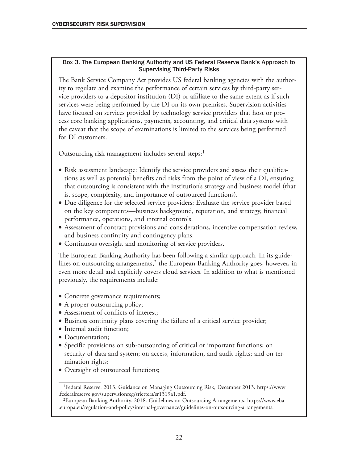#### Box 3. The European Banking Authority and US Federal Reserve Bank's Approach to Supervising Third-Party Risks

The Bank Service Company Act provides US federal banking agencies with the authority to regulate and examine the performance of certain services by third-party service providers to a depositor institution (DI) or affiliate to the same extent as if such services were being performed by the DI on its own premises. Supervision activities have focused on services provided by technology service providers that host or process core banking applications, payments, accounting, and critical data systems with the caveat that the scope of examinations is limited to the services being performed for DI customers.

Outsourcing risk management includes several steps:<sup>1</sup>

- Risk assessment landscape: Identify the service providers and assess their qualifications as well as potential benefits and risks from the point of view of a DI, ensuring that outsourcing is consistent with the institution's strategy and business model (that is, scope, complexity, and importance of outsourced functions).
- Due diligence for the selected service providers: Evaluate the service provider based on the key components—business background, reputation, and strategy, financial performance, operations, and internal controls.
- Assessment of contract provisions and considerations, incentive compensation review, and business continuity and contingency plans.
- Continuous oversight and monitoring of service providers.

The European Banking Authority has been following a similar approach. In its guidelines on outsourcing arrangements, $2$  the European Banking Authority goes, however, in even more detail and explicitly covers cloud services. In addition to what is mentioned previously, the requirements include:

- Concrete governance requirements;
- A proper outsourcing policy;
- Assessment of conflicts of interest;
- Business continuity plans covering the failure of a critical service provider;
- Internal audit function;
- Documentation;
- Specific provisions on sub-outsourcing of critical or important functions; on security of data and system; on access, information, and audit rights; and on termination rights;
- Oversight of outsourced functions;

<sup>1</sup>Federal Reserve. 2013. Guidance on Managing Outsourcing Risk, December 2013. https://www .federalreserve.gov/supervisionreg/srletters/sr1319a1.pdf.

<sup>2</sup>European Banking Authority. 2018. Guidelines on Outsourcing Arrangements. https://www.eba .europa.eu/regulation-and-policy/internal-governance/guidelines-on-outsourcing-arrangements.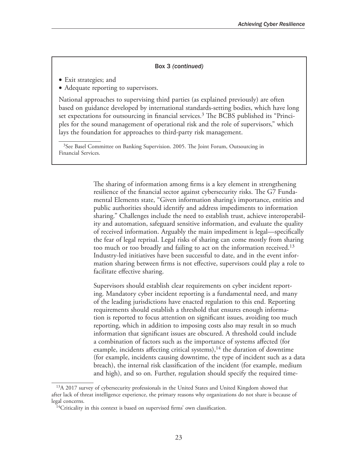#### Box 3 *(continued)*

- Exit strategies; and
- Adequate reporting to supervisors.

National approaches to supervising third parties (as explained previously) are often based on guidance developed by international standards-setting bodies, which have long set expectations for outsourcing in financial services.3 The BCBS published its "Principles for the sound management of operational risk and the role of supervisors," which lays the foundation for approaches to third-party risk management.

The sharing of information among firms is a key element in strengthening resilience of the financial sector against cybersecurity risks. The G7 Fundamental Elements state, "Given information sharing's importance, entities and public authorities should identify and address impediments to information sharing." Challenges include the need to establish trust, achieve interoperability and automation, safeguard sensitive information, and evaluate the quality of received information. Arguably the main impediment is legal—specifically the fear of legal reprisal. Legal risks of sharing can come mostly from sharing too much or too broadly and failing to act on the information received.<sup>13</sup> Industry-led initiatives have been successful to date, and in the event information sharing between firms is not effective, supervisors could play a role to facilitate effective sharing.

Supervisors should establish clear requirements on cyber incident reporting. Mandatory cyber incident reporting is a fundamental need, and many of the leading jurisdictions have enacted regulation to this end. Reporting requirements should establish a threshold that ensures enough information is reported to focus attention on significant issues, avoiding too much reporting, which in addition to imposing costs also may result in so much information that significant issues are obscured. A threshold could include a combination of factors such as the importance of systems affected (for example, incidents affecting critical systems),  $14$  the duration of downtime (for example, incidents causing downtime, the type of incident such as a data breach), the internal risk classification of the incident (for example, medium and high), and so on. Further, regulation should specify the required time-

<sup>&</sup>lt;sup>3</sup>See Basel Committee on Banking Supervision. 2005. The Joint Forum, Outsourcing in Financial Services.

<sup>&</sup>lt;sup>13</sup>A 2017 survey of cybersecurity professionals in the United States and United Kingdom showed that after lack of threat intelligence experience, the primary reasons why organizations do not share is because of legal concerns.

<sup>&</sup>lt;sup>14</sup>Criticality in this context is based on supervised firms' own classification.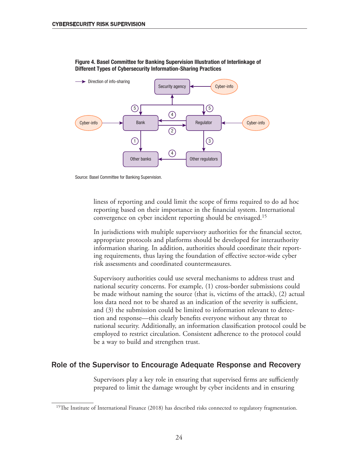

#### Figure 4. Basel Committee for Banking Supervision Illustration of Interlinkage of Different Types of Cybersecurity Information-Sharing Practices

Source: Basel Committee for Banking Supervision.

liness of reporting and could limit the scope of firms required to do ad hoc reporting based on their importance in the financial system. International convergence on cyber incident reporting should be envisaged.15

In jurisdictions with multiple supervisory authorities for the financial sector, appropriate protocols and platforms should be developed for interauthority information sharing. In addition, authorities should coordinate their reporting requirements, thus laying the foundation of effective sector-wide cyber risk assessments and coordinated countermeasures.

Supervisory authorities could use several mechanisms to address trust and national security concerns. For example, (1) cross-border submissions could be made without naming the source (that is, victims of the attack), (2) actual loss data need not to be shared as an indication of the severity is sufficient, and (3) the submission could be limited to information relevant to detection and response—this clearly benefits everyone without any threat to national security. Additionally, an information classification protocol could be employed to restrict circulation. Consistent adherence to the protocol could be a way to build and strengthen trust.

#### Role of the Supervisor to Encourage Adequate Response and Recovery

Supervisors play a key role in ensuring that supervised firms are sufficiently prepared to limit the damage wrought by cyber incidents and in ensuring

<sup>&</sup>lt;sup>15</sup>The Institute of International Finance (2018) has described risks connected to regulatory fragmentation.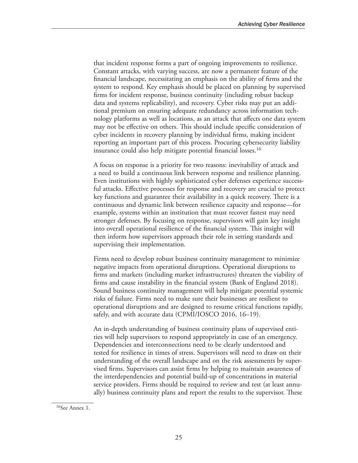that incident response forms a part of ongoing improvements to resilience. Constant attacks, with varying success, are now a permanent feature of the financial landscape, necessitating an emphasis on the ability of firms and the system to respond. Key emphasis should be placed on planning by supervised firms for incident response, business continuity (including robust backup data and systems replicability), and recovery. Cyber risks may put an additional premium on ensuring adequate redundancy across information technology platforms as well as locations, as an attack that affects one data system may not be effective on others. This should include specific consideration of cyber incidents in recovery planning by individual firms, making incident reporting an important part of this process. Procuring cybersecurity liability insurance could also help mitigate potential financial losses.<sup>16</sup>

A focus on response is a priority for two reasons: inevitability of attack and a need to build a continuous link between response and resilience planning. Even institutions with highly sophisticated cyber defenses experience successful attacks. Effective processes for response and recovery are crucial to protect key functions and guarantee their availability in a quick recovery. There is a continuous and dynamic link between resilience capacity and response—for example, systems within an institution that must recover fastest may need stronger defenses. By focusing on response, supervisors will gain key insight into overall operational resilience of the financial system. This insight will then inform how supervisors approach their role in setting standards and supervising their implementation.

Firms need to develop robust business continuity management to minimize negative impacts from operational disruptions. Operational disruptions to firms and markets (including market infrastructures) threaten the viability of firms and cause instability in the financial system (Bank of England 2018). Sound business continuity management will help mitigate potential systemic risks of failure. Firms need to make sure their businesses are resilient to operational disruptions and are designed to resume critical functions rapidly, safely, and with accurate data (CPMI/IOSCO 2016, 16–19).

An in-depth understanding of business continuity plans of supervised entities will help supervisors to respond appropriately in case of an emergency. Dependencies and interconnections need to be clearly understood and tested for resilience in times of stress. Supervisors will need to draw on their understanding of the overall landscape and on the risk assessments by supervised firms. Supervisors can assist firms by helping to maintain awareness of the interdependencies and potential build-up of concentrations in material service providers. Firms should be required to review and test (at least annually) business continuity plans and report the results to the supervisor. These

<sup>16</sup>See Annex 1.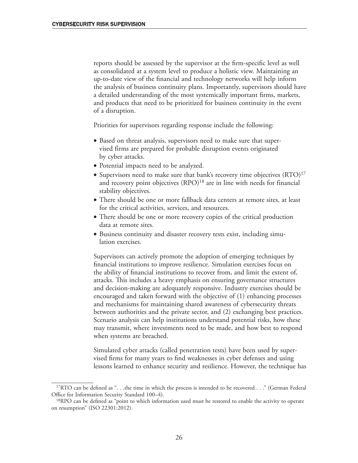reports should be assessed by the supervisor at the firm-specific level as well as consolidated at a system level to produce a holistic view. Maintaining an up-to-date view of the financial and technology networks will help inform the analysis of business continuity plans. Importantly, supervisors should have a detailed understanding of the most systemically important firms, markets, and products that need to be prioritized for business continuity in the event of a disruption.

Priorities for supervisors regarding response include the following:

- Based on threat analysis, supervisors need to make sure that supervised firms are prepared for probable disruption events originated by cyber attacks.
- Potential impacts need to be analyzed.
- Supervisors need to make sure that bank's recovery time objectives (RTO)<sup>17</sup> and recovery point objectives (RPO)<sup>18</sup> are in line with needs for financial stability objectives.
- There should be one or more fallback data centers at remote sites, at least for the critical activities, services, and resources.
- There should be one or more recovery copies of the critical production data at remote sites.
- Business continuity and disaster recovery tests exist, including simulation exercises.

Supervisors can actively promote the adoption of emerging techniques by financial institutions to improve resilience. Simulation exercises focus on the ability of financial institutions to recover from, and limit the extent of, attacks. This includes a heavy emphasis on ensuring governance structures and decision-making are adequately responsive. Industry exercises should be encouraged and taken forward with the objective of (1) enhancing processes and mechanisms for maintaining shared awareness of cybersecurity threats between authorities and the private sector, and (2) exchanging best practices. Scenario analysis can help institutions understand potential risks, how these may transmit, where investments need to be made, and how best to respond when systems are breached.

Simulated cyber attacks (called penetration tests) have been used by supervised firms for many years to find weaknesses in cyber defenses and using lessons learned to enhance security and resilience. However, the technique has

<sup>&</sup>lt;sup>17</sup>RTO can be defined as "...the time in which the process is intended to be recovered ..." (German Federal Office for Information Security Standard 100–4).

<sup>&</sup>lt;sup>18</sup>RPO can be defined as "point to which information used must be restored to enable the activity to operate on resumption" (ISO 22301:2012).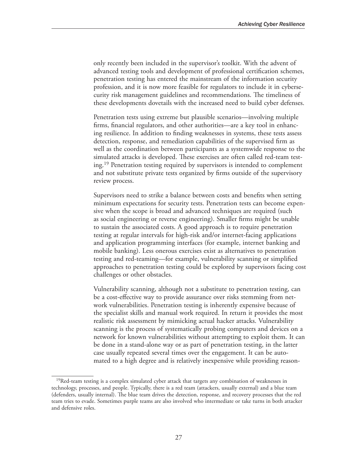only recently been included in the supervisor's toolkit. With the advent of advanced testing tools and development of professional certification schemes, penetration testing has entered the mainstream of the information security profession, and it is now more feasible for regulators to include it in cybersecurity risk management guidelines and recommendations. The timeliness of these developments dovetails with the increased need to build cyber defenses.

Penetration tests using extreme but plausible scenarios—involving multiple firms, financial regulators, and other authorities—are a key tool in enhancing resilience. In addition to finding weaknesses in systems, these tests assess detection, response, and remediation capabilities of the supervised firm as well as the coordination between participants as a systemwide response to the simulated attacks is developed. These exercises are often called red-team testing.19 Penetration testing required by supervisors is intended to complement and not substitute private tests organized by firms outside of the supervisory review process.

Supervisors need to strike a balance between costs and benefits when setting minimum expectations for security tests. Penetration tests can become expensive when the scope is broad and advanced techniques are required (such as social engineering or reverse engineering). Smaller firms might be unable to sustain the associated costs. A good approach is to require penetration testing at regular intervals for high-risk and/or internet-facing applications and application programming interfaces (for example, internet banking and mobile banking). Less onerous exercises exist as alternatives to penetration testing and red-teaming—for example, vulnerability scanning or simplified approaches to penetration testing could be explored by supervisors facing cost challenges or other obstacles.

Vulnerability scanning, although not a substitute to penetration testing, can be a cost-effective way to provide assurance over risks stemming from network vulnerabilities. Penetration testing is inherently expensive because of the specialist skills and manual work required. In return it provides the most realistic risk assessment by mimicking actual hacker attacks. Vulnerability scanning is the process of systematically probing computers and devices on a network for known vulnerabilities without attempting to exploit them. It can be done in a stand-alone way or as part of penetration testing, in the latter case usually repeated several times over the engagement. It can be automated to a high degree and is relatively inexpensive while providing reason-

<sup>&</sup>lt;sup>19</sup>Red-team testing is a complex simulated cyber attack that targets any combination of weaknesses in technology, processes, and people. Typically, there is a red team (attackers, usually external) and a blue team (defenders, usually internal). The blue team drives the detection, response, and recovery processes that the red team tries to evade. Sometimes purple teams are also involved who intermediate or take turns in both attacker and defensive roles.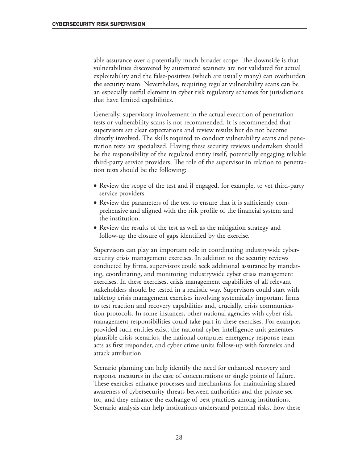able assurance over a potentially much broader scope. The downside is that vulnerabilities discovered by automated scanners are not validated for actual exploitability and the false-positives (which are usually many) can overburden the security team. Nevertheless, requiring regular vulnerability scans can be an especially useful element in cyber risk regulatory schemes for jurisdictions that have limited capabilities.

Generally, supervisory involvement in the actual execution of penetration tests or vulnerability scans is not recommended. It is recommended that supervisors set clear expectations and review results but do not become directly involved. The skills required to conduct vulnerability scans and penetration tests are specialized. Having these security reviews undertaken should be the responsibility of the regulated entity itself, potentially engaging reliable third-party service providers. The role of the supervisor in relation to penetration tests should be the following:

- Review the scope of the test and if engaged, for example, to vet third-party service providers.
- Review the parameters of the test to ensure that it is sufficiently comprehensive and aligned with the risk profile of the financial system and the institution.
- Review the results of the test as well as the mitigation strategy and follow-up the closure of gaps identified by the exercise.

Supervisors can play an important role in coordinating industrywide cybersecurity crisis management exercises. In addition to the security reviews conducted by firms, supervisors could seek additional assurance by mandating, coordinating, and monitoring industrywide cyber crisis management exercises. In these exercises, crisis management capabilities of all relevant stakeholders should be tested in a realistic way. Supervisors could start with tabletop crisis management exercises involving systemically important firms to test reaction and recovery capabilities and, crucially, crisis communication protocols. In some instances, other national agencies with cyber risk management responsibilities could take part in these exercises. For example, provided such entities exist, the national cyber intelligence unit generates plausible crisis scenarios, the national computer emergency response team acts as first responder, and cyber crime units follow-up with forensics and attack attribution.

Scenario planning can help identify the need for enhanced recovery and response measures in the case of concentrations or single points of failure. These exercises enhance processes and mechanisms for maintaining shared awareness of cybersecurity threats between authorities and the private sector, and they enhance the exchange of best practices among institutions. Scenario analysis can help institutions understand potential risks, how these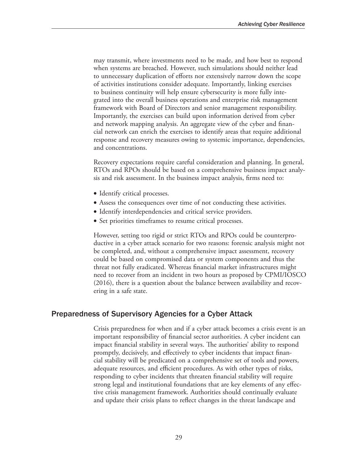may transmit, where investments need to be made, and how best to respond when systems are breached. However, such simulations should neither lead to unnecessary duplication of efforts nor extensively narrow down the scope of activities institutions consider adequate. Importantly, linking exercises to business continuity will help ensure cybersecurity is more fully integrated into the overall business operations and enterprise risk management framework with Board of Directors and senior management responsibility. Importantly, the exercises can build upon information derived from cyber and network mapping analysis. An aggregate view of the cyber and financial network can enrich the exercises to identify areas that require additional response and recovery measures owing to systemic importance, dependencies, and concentrations.

Recovery expectations require careful consideration and planning. In general, RTOs and RPOs should be based on a comprehensive business impact analysis and risk assessment. In the business impact analysis, firms need to:

- Identify critical processes.
- Assess the consequences over time of not conducting these activities.
- Identify interdependencies and critical service providers.
- Set priorities timeframes to resume critical processes.

However, setting too rigid or strict RTOs and RPOs could be counterproductive in a cyber attack scenario for two reasons: forensic analysis might not be completed, and, without a comprehensive impact assessment, recovery could be based on compromised data or system components and thus the threat not fully eradicated. Whereas financial market infrastructures might need to recover from an incident in two hours as proposed by CPMI/IOSCO (2016), there is a question about the balance between availability and recovering in a safe state.

#### Preparedness of Supervisory Agencies for a Cyber Attack

Crisis preparedness for when and if a cyber attack becomes a crisis event is an important responsibility of financial sector authorities. A cyber incident can impact financial stability in several ways. The authorities' ability to respond promptly, decisively, and effectively to cyber incidents that impact financial stability will be predicated on a comprehensive set of tools and powers, adequate resources, and efficient procedures. As with other types of risks, responding to cyber incidents that threaten financial stability will require strong legal and institutional foundations that are key elements of any effective crisis management framework. Authorities should continually evaluate and update their crisis plans to reflect changes in the threat landscape and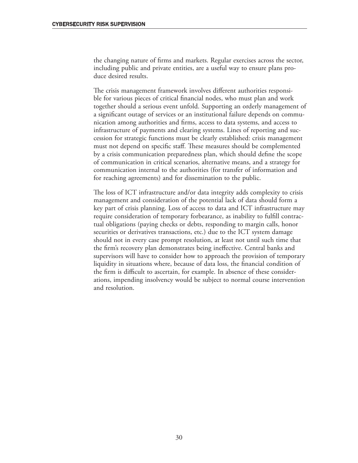the changing nature of firms and markets. Regular exercises across the sector, including public and private entities, are a useful way to ensure plans produce desired results.

The crisis management framework involves different authorities responsible for various pieces of critical financial nodes, who must plan and work together should a serious event unfold. Supporting an orderly management of a significant outage of services or an institutional failure depends on communication among authorities and firms, access to data systems, and access to infrastructure of payments and clearing systems. Lines of reporting and succession for strategic functions must be clearly established: crisis management must not depend on specific staff. These measures should be complemented by a crisis communication preparedness plan, which should define the scope of communication in critical scenarios, alternative means, and a strategy for communication internal to the authorities (for transfer of information and for reaching agreements) and for dissemination to the public.

The loss of ICT infrastructure and/or data integrity adds complexity to crisis management and consideration of the potential lack of data should form a key part of crisis planning. Loss of access to data and ICT infrastructure may require consideration of temporary forbearance, as inability to fulfill contractual obligations (paying checks or debts, responding to margin calls, honor securities or derivatives transactions, etc.) due to the ICT system damage should not in every case prompt resolution, at least not until such time that the firm's recovery plan demonstrates being ineffective. Central banks and supervisors will have to consider how to approach the provision of temporary liquidity in situations where, because of data loss, the financial condition of the firm is difficult to ascertain, for example. In absence of these considerations, impending insolvency would be subject to normal course intervention and resolution.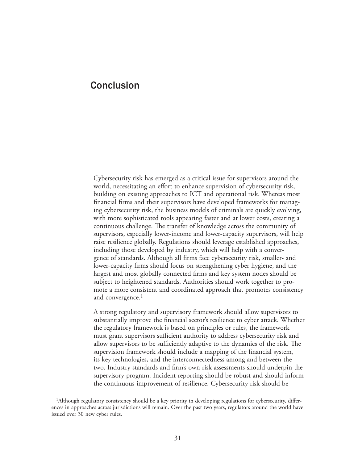### Conclusion

Cybersecurity risk has emerged as a critical issue for supervisors around the world, necessitating an effort to enhance supervision of cybersecurity risk, building on existing approaches to ICT and operational risk. Whereas most financial firms and their supervisors have developed frameworks for managing cybersecurity risk, the business models of criminals are quickly evolving, with more sophisticated tools appearing faster and at lower costs, creating a continuous challenge. The transfer of knowledge across the community of supervisors, especially lower-income and lower-capacity supervisors, will help raise resilience globally. Regulations should leverage established approaches, including those developed by industry, which will help with a convergence of standards. Although all firms face cybersecurity risk, smaller- and lower-capacity firms should focus on strengthening cyber hygiene, and the largest and most globally connected firms and key system nodes should be subject to heightened standards. Authorities should work together to promote a more consistent and coordinated approach that promotes consistency and convergence.<sup>1</sup>

A strong regulatory and supervisory framework should allow supervisors to substantially improve the financial sector's resilience to cyber attack. Whether the regulatory framework is based on principles or rules, the framework must grant supervisors sufficient authority to address cybersecurity risk and allow supervisors to be sufficiently adaptive to the dynamics of the risk. The supervision framework should include a mapping of the financial system, its key technologies, and the interconnectedness among and between the two. Industry standards and firm's own risk assessments should underpin the supervisory program. Incident reporting should be robust and should inform the continuous improvement of resilience. Cybersecurity risk should be

<sup>1</sup>Although regulatory consistency should be a key priority in developing regulations for cybersecurity, differences in approaches across jurisdictions will remain. Over the past two years, regulators around the world have issued over 30 new cyber rules.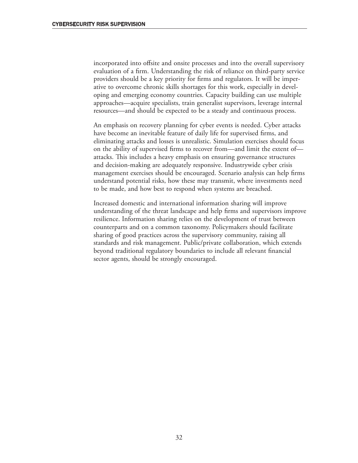incorporated into offsite and onsite processes and into the overall supervisory evaluation of a firm. Understanding the risk of reliance on third-party service providers should be a key priority for firms and regulators. It will be imperative to overcome chronic skills shortages for this work, especially in developing and emerging economy countries. Capacity building can use multiple approaches—acquire specialists, train generalist supervisors, leverage internal resources—and should be expected to be a steady and continuous process.

An emphasis on recovery planning for cyber events is needed. Cyber attacks have become an inevitable feature of daily life for supervised firms, and eliminating attacks and losses is unrealistic. Simulation exercises should focus on the ability of supervised firms to recover from—and limit the extent of attacks. This includes a heavy emphasis on ensuring governance structures and decision-making are adequately responsive. Industrywide cyber crisis management exercises should be encouraged. Scenario analysis can help firms understand potential risks, how these may transmit, where investments need to be made, and how best to respond when systems are breached.

Increased domestic and international information sharing will improve understanding of the threat landscape and help firms and supervisors improve resilience. Information sharing relies on the development of trust between counterparts and on a common taxonomy. Policymakers should facilitate sharing of good practices across the supervisory community, raising all standards and risk management. Public/private collaboration, which extends beyond traditional regulatory boundaries to include all relevant financial sector agents, should be strongly encouraged.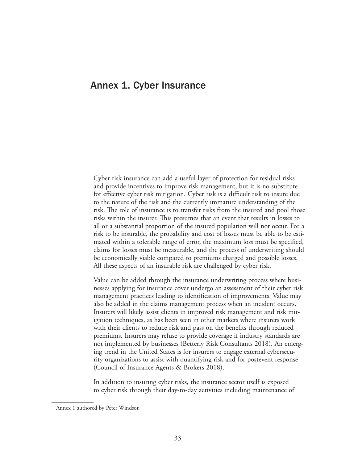#### Annex 1. Cyber Insurance

Cyber risk insurance can add a useful layer of protection for residual risks and provide incentives to improve risk management, but it is no substitute for effective cyber risk mitigation. Cyber risk is a difficult risk to insure due to the nature of the risk and the currently immature understanding of the risk. The role of insurance is to transfer risks from the insured and pool those risks within the insurer. This presumes that an event that results in losses to all or a substantial proportion of the insured population will not occur. For a risk to be insurable, the probability and cost of losses must be able to be estimated within a tolerable range of error, the maximum loss must be specified, claims for losses must be measurable, and the process of underwriting should be economically viable compared to premiums charged and possible losses. All these aspects of an insurable risk are challenged by cyber risk.

Value can be added through the insurance underwriting process where businesses applying for insurance cover undergo an assessment of their cyber risk management practices leading to identification of improvements. Value may also be added in the claims management process when an incident occurs. Insurers will likely assist clients in improved risk management and risk mitigation techniques, as has been seen in other markets where insurers work with their clients to reduce risk and pass on the benefits through reduced premiums. Insurers may refuse to provide coverage if industry standards are not implemented by businesses (Betterly Risk Consultants 2018). An emerging trend in the United States is for insurers to engage external cybersecurity organizations to assist with quantifying risk and for postevent response (Council of Insurance Agents & Brokers 2018).

In addition to insuring cyber risks, the insurance sector itself is exposed to cyber risk through their day-to-day activities including maintenance of

Annex 1 authored by Peter Windsor.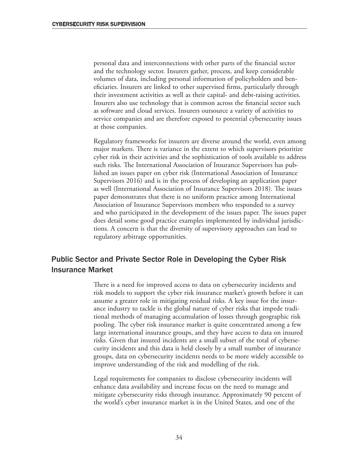personal data and interconnections with other parts of the financial sector and the technology sector. Insurers gather, process, and keep considerable volumes of data, including personal information of policyholders and beneficiaries. Insurers are linked to other supervised firms, particularly through their investment activities as well as their capital- and debt-raising activities. Insurers also use technology that is common across the financial sector such as software and cloud services. Insurers outsource a variety of activities to service companies and are therefore exposed to potential cybersecurity issues at those companies.

Regulatory frameworks for insurers are diverse around the world, even among major markets. There is variance in the extent to which supervisors prioritize cyber risk in their activities and the sophistication of tools available to address such risks. The International Association of Insurance Supervisors has published an issues paper on cyber risk (International Association of Insurance Supervisors 2016) and is in the process of developing an application paper as well (International Association of Insurance Supervisors 2018). The issues paper demonstrates that there is no uniform practice among International Association of Insurance Supervisors members who responded to a survey and who participated in the development of the issues paper. The issues paper does detail some good practice examples implemented by individual jurisdictions. A concern is that the diversity of supervisory approaches can lead to regulatory arbitrage opportunities.

#### Public Sector and Private Sector Role in Developing the Cyber Risk Insurance Market

There is a need for improved access to data on cybersecurity incidents and risk models to support the cyber risk insurance market's growth before it can assume a greater role in mitigating residual risks. A key issue for the insurance industry to tackle is the global nature of cyber risks that impede traditional methods of managing accumulation of losses through geographic risk pooling. The cyber risk insurance market is quite concentrated among a few large international insurance groups, and they have access to data on insured risks. Given that insured incidents are a small subset of the total of cybersecurity incidents and this data is held closely by a small number of insurance groups, data on cybersecurity incidents needs to be more widely accessible to improve understanding of the risk and modelling of the risk.

Legal requirements for companies to disclose cybersecurity incidents will enhance data availability and increase focus on the need to manage and mitigate cybersecurity risks through insurance. Approximately 90 percent of the world's cyber insurance market is in the United States, and one of the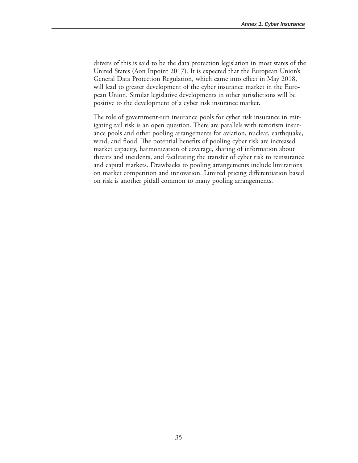drivers of this is said to be the data protection legislation in most states of the United States (Aon Inpoint 2017). It is expected that the European Union's General Data Protection Regulation, which came into effect in May 2018, will lead to greater development of the cyber insurance market in the European Union. Similar legislative developments in other jurisdictions will be positive to the development of a cyber risk insurance market.

The role of government-run insurance pools for cyber risk insurance in mitigating tail risk is an open question. There are parallels with terrorism insurance pools and other pooling arrangements for aviation, nuclear, earthquake, wind, and flood. The potential benefits of pooling cyber risk are increased market capacity, harmonization of coverage, sharing of information about threats and incidents, and facilitating the transfer of cyber risk to reinsurance and capital markets. Drawbacks to pooling arrangements include limitations on market competition and innovation. Limited pricing differentiation based on risk is another pitfall common to many pooling arrangements.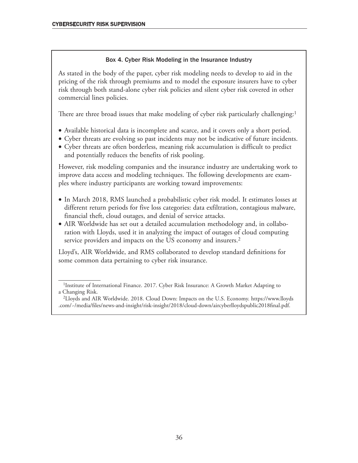#### Box 4. Cyber Risk Modeling in the Insurance Industry

As stated in the body of the paper, cyber risk modeling needs to develop to aid in the pricing of the risk through premiums and to model the exposure insurers have to cyber risk through both stand-alone cyber risk policies and silent cyber risk covered in other commercial lines policies.

There are three broad issues that make modeling of cyber risk particularly challenging:<sup>1</sup>

- Available historical data is incomplete and scarce, and it covers only a short period.
- Cyber threats are evolving so past incidents may not be indicative of future incidents.
- Cyber threats are often borderless, meaning risk accumulation is difficult to predict and potentially reduces the benefits of risk pooling.

However, risk modeling companies and the insurance industry are undertaking work to improve data access and modeling techniques. The following developments are examples where industry participants are working toward improvements:

- In March 2018, RMS launched a probabilistic cyber risk model. It estimates losses at different return periods for five loss categories: data exfiltration, contagious malware, financial theft, cloud outages, and denial of service attacks.
- AIR Worldwide has set out a detailed accumulation methodology and, in collaboration with Lloyds, used it in analyzing the impact of outages of cloud computing service providers and impacts on the US economy and insurers.<sup>2</sup>

Lloyd's, AIR Worldwide, and RMS collaborated to develop standard definitions for some common data pertaining to cyber risk insurance.

<sup>&</sup>lt;sup>1</sup>Institute of International Finance. 2017. Cyber Risk Insurance: A Growth Market Adapting to a Changing Risk.

<sup>2</sup>Lloyds and AIR Worldwide. 2018. Cloud Down: Impacts on the U.S. Economy. https://www.lloyds .com/~/media/files/news-and-insight/risk-insight/2018/cloud-down/aircyberlloydspublic2018final.pdf.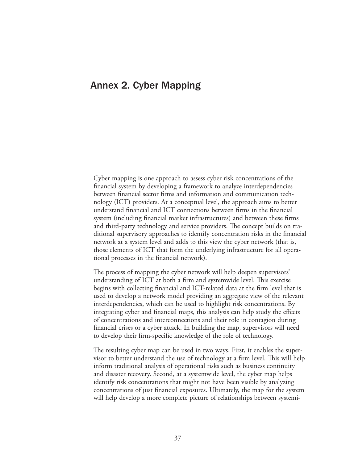#### Annex 2. Cyber Mapping

Cyber mapping is one approach to assess cyber risk concentrations of the financial system by developing a framework to analyze interdependencies between financial sector firms and information and communication technology (ICT) providers. At a conceptual level, the approach aims to better understand financial and ICT connections between firms in the financial system (including financial market infrastructures) and between these firms and third-party technology and service providers. The concept builds on traditional supervisory approaches to identify concentration risks in the financial network at a system level and adds to this view the cyber network (that is, those elements of ICT that form the underlying infrastructure for all operational processes in the financial network).

The process of mapping the cyber network will help deepen supervisors' understanding of ICT at both a firm and systemwide level. This exercise begins with collecting financial and ICT-related data at the firm level that is used to develop a network model providing an aggregate view of the relevant interdependencies, which can be used to highlight risk concentrations. By integrating cyber and financial maps, this analysis can help study the effects of concentrations and interconnections and their role in contagion during financial crises or a cyber attack. In building the map, supervisors will need to develop their firm-specific knowledge of the role of technology.

The resulting cyber map can be used in two ways. First, it enables the supervisor to better understand the use of technology at a firm level. This will help inform traditional analysis of operational risks such as business continuity and disaster recovery. Second, at a systemwide level, the cyber map helps identify risk concentrations that might not have been visible by analyzing concentrations of just financial exposures. Ultimately, the map for the system will help develop a more complete picture of relationships between systemi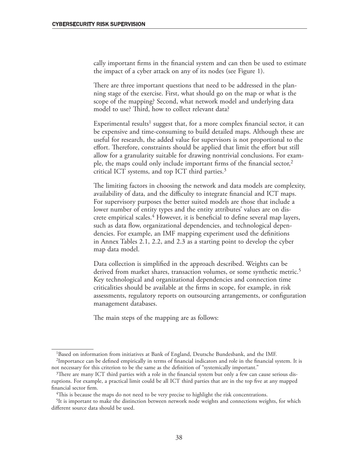cally important firms in the financial system and can then be used to estimate the impact of a cyber attack on any of its nodes (see Figure 1).

There are three important questions that need to be addressed in the planning stage of the exercise. First, what should go on the map or what is the scope of the mapping? Second, what network model and underlying data model to use? Third, how to collect relevant data?

Experimental results<sup>1</sup> suggest that, for a more complex financial sector, it can be expensive and time-consuming to build detailed maps. Although these are useful for research, the added value for supervisors is not proportional to the effort. Therefore, constraints should be applied that limit the effort but still allow for a granularity suitable for drawing nontrivial conclusions. For example, the maps could only include important firms of the financial sector,<sup>2</sup> critical ICT systems, and top ICT third parties.3

The limiting factors in choosing the network and data models are complexity, availability of data, and the difficulty to integrate financial and ICT maps. For supervisory purposes the better suited models are those that include a lower number of entity types and the entity attributes' values are on discrete empirical scales.<sup>4</sup> However, it is beneficial to define several map layers, such as data flow, organizational dependencies, and technological dependencies. For example, an IMF mapping experiment used the definitions in Annex Tables 2.1, 2.2, and 2.3 as a starting point to develop the cyber map data model.

Data collection is simplified in the approach described. Weights can be derived from market shares, transaction volumes, or some synthetic metric.<sup>5</sup> Key technological and organizational dependencies and connection time criticalities should be available at the firms in scope, for example, in risk assessments, regulatory reports on outsourcing arrangements, or configuration management databases.

The main steps of the mapping are as follows:

<sup>1</sup>Based on information from initiatives at Bank of England, Deutsche Bundesbank, and the IMF.

<sup>2</sup>Importance can be defined empirically in terms of financial indicators and role in the financial system. It is not necessary for this criterion to be the same as the definition of "systemically important."

<sup>3</sup>There are many ICT third parties with a role in the financial system but only a few can cause serious disruptions. For example, a practical limit could be all ICT third parties that are in the top five at any mapped financial sector firm.

<sup>&</sup>lt;sup>4</sup>This is because the maps do not need to be very precise to highlight the risk concentrations.

<sup>&</sup>lt;sup>5</sup>It is important to make the distinction between network node weights and connections weights, for which different source data should be used.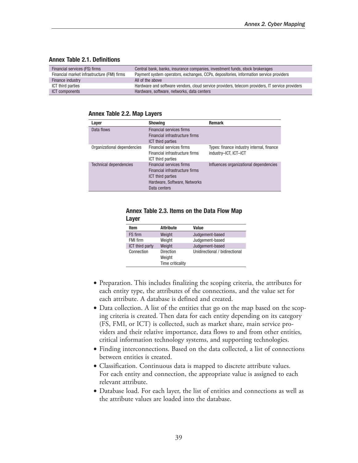| Financial services (FS) firms               | Central bank, banks, insurance companies, investment funds, stock brokerages                    |  |  |
|---------------------------------------------|-------------------------------------------------------------------------------------------------|--|--|
| Financial market infrastructure (FMI) firms | Payment system operators, exchanges, CCPs, depositories, information service providers          |  |  |
| Finance industry                            | All of the above                                                                                |  |  |
| ICT third parties                           | Hardware and software vendors, cloud service providers, telecom providers, IT service providers |  |  |
| <b>ICT</b> components                       | Hardware, software, networks, data centers                                                      |  |  |

#### Annex Table 2.1. Definitions

#### Annex Table 2.2. Map Layers

| Layer                         | <b>Showing</b>                                                                                                                                | <b>Remark</b>                                                      |
|-------------------------------|-----------------------------------------------------------------------------------------------------------------------------------------------|--------------------------------------------------------------------|
| Data flows                    | Financial services firms<br>Financial infrastructure firms<br><b>ICT</b> third parties                                                        |                                                                    |
| Organizational dependencies   | Financial services firms<br>Financial infrastructure firms<br>ICT third parties                                                               | Types: finance industry internal, finance<br>industry-ICT, ICT-ICT |
| <b>Technical dependencies</b> | <b>Financial services firms</b><br>Financial infrastructure firms<br><b>ICT</b> third parties<br>Hardware, Software, Networks<br>Data centers | Influences organizational dependencies                             |

#### Annex Table 2.3. Items on the Data Flow Map Layer

| Item            | <b>Attribute</b>                        | Value                          |
|-----------------|-----------------------------------------|--------------------------------|
| FS firm         | Weight                                  | Judgement-based                |
| FMI firm        | Weight                                  | Judgement-based                |
| ICT third party | Weight                                  | Judgement-based                |
| Connection      | Direction<br>Weight<br>Time criticality | Unidirectional / bidirectional |

- Preparation. This includes finalizing the scoping criteria, the attributes for each entity type, the attributes of the connections, and the value set for each attribute. A database is defined and created.
- Data collection. A list of the entities that go on the map based on the scoping criteria is created. Then data for each entity depending on its category (FS, FMI, or ICT) is collected, such as market share, main service providers and their relative importance, data flows to and from other entities, critical information technology systems, and supporting technologies.
- Finding interconnections. Based on the data collected, a list of connections between entities is created.
- Classification. Continuous data is mapped to discrete attribute values. For each entity and connection, the appropriate value is assigned to each relevant attribute.
- Database load. For each layer, the list of entities and connections as well as the attribute values are loaded into the database.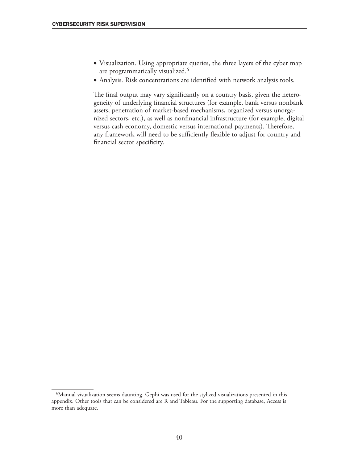- Visualization. Using appropriate queries, the three layers of the cyber map are programmatically visualized.<sup>6</sup>
- Analysis. Risk concentrations are identified with network analysis tools.

The final output may vary significantly on a country basis, given the heterogeneity of underlying financial structures (for example, bank versus nonbank assets, penetration of market-based mechanisms, organized versus unorganized sectors, etc.), as well as nonfinancial infrastructure (for example, digital versus cash economy, domestic versus international payments). Therefore, any framework will need to be sufficiently flexible to adjust for country and financial sector specificity.

<sup>6</sup>Manual visualization seems daunting. Gephi was used for the stylized visualizations presented in this appendix. Other tools that can be considered are R and Tableau. For the supporting database, Access is more than adequate.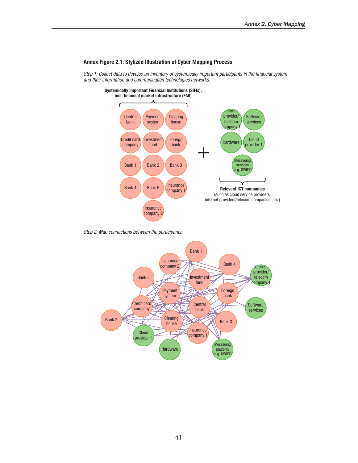#### Annex Figure 2.1. Stylized Illustration of Cyber Mapping Process

*Step 1: Collect data to develop an inventory of systemically important participants in the financial system and their information and communication technologies networks.*



*Step 2: Map connections between the participants.*

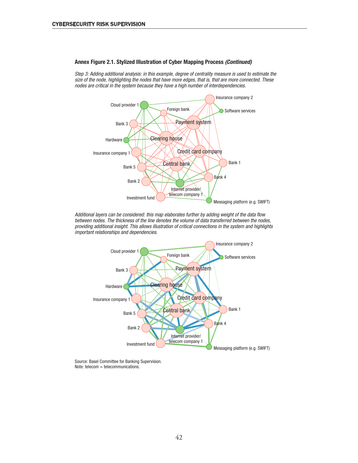

#### Annex Figure 2.1. Stylized Illustration of Cyber Mapping Process *(Continued)*

*Step 3: Adding additional analysis: in this example, degree of centrality measure is used to estimate the size of the node, highlighting the nodes that have more edges, that is, that are more connected. These nodes are critical in the system because they have a high number of interdependencies.*

*Additional layers can be considered: this map elaborates further by adding weight of the data flow between nodes. The thickness of the line denotes the volume of data transferred between the nodes, providing additional insight. This allows illustration of critical connections in the system and highlights important relationships and dependencies.* 



Source: Basel Committee for Banking Supervision. Note: telecom = telecommunications.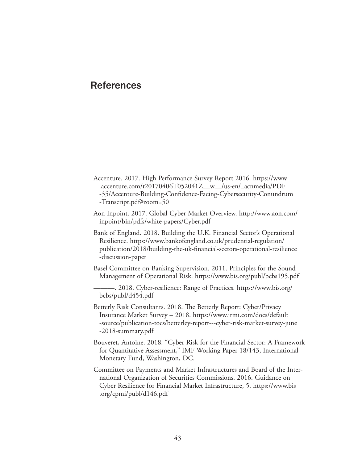#### References

- Accenture. 2017. High Performance Survey Report 2016. https://www .accenture.com/t20170406T052041Z\_\_w\_\_/us-en/\_acnmedia/PDF -35/Accenture-Building-Confidence-Facing-Cybersecurity-Conundrum -Transcript.pdf#zoom=50
- Aon Inpoint. 2017. Global Cyber Market Overview. http://www.aon.com/ inpoint/bin/pdfs/white-papers/Cyber.pdf
- Bank of England. 2018. Building the U.K. Financial Sector's Operational Resilience. https://www.bankofengland.co.uk/prudential-regulation/ publication/2018/building-the-uk-financial-sectors-operational-resilience -discussion-paper
- Basel Committee on Banking Supervision. 2011. Principles for the Sound Management of Operational Risk. https://www.bis.org/publ/bcbs195.pdf
	- ———. 2018. Cyber-resilience: Range of Practices. https://www.bis.org/ bcbs/publ/d454.pdf
- Betterly Risk Consultants. 2018. The Betterly Report: Cyber/Privacy Insurance Market Survey – 2018. https://www.irmi.com/docs/default -source/publication-tocs/betterley-report---cyber-risk-market-survey-june -2018-summary.pdf
- Bouveret, Antoine. 2018. "Cyber Risk for the Financial Sector: A Framework for Quantitative Assessment," IMF Working Paper 18/143, International Monetary Fund, Washington, DC.
- Committee on Payments and Market Infrastructures and Board of the International Organization of Securities Commissions. 2016. Guidance on Cyber Resilience for Financial Market Infrastructure, 5. https://www.bis .org/cpmi/publ/d146.pdf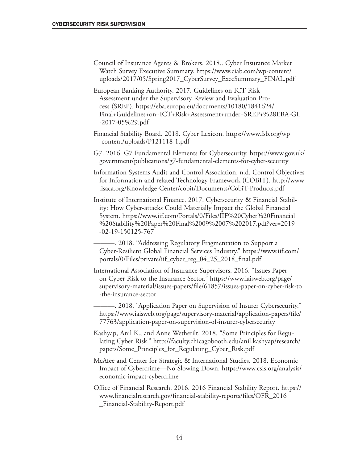- Council of Insurance Agents & Brokers. 2018.. Cyber Insurance Market Watch Survey Executive Summary. https://www.ciab.com/wp-content/ uploads/2017/05/Spring2017\_CyberSurvey\_ExecSummary\_FINAL.pdf
- European Banking Authority. 2017. Guidelines on ICT Risk Assessment under the Supervisory Review and Evaluation Process (SREP). https://eba.europa.eu/documents/10180/1841624/ Final+Guidelines+on+ICT+Risk+Assessment+under+SREP+%28EBA-GL -2017-05%29.pdf
- Financial Stability Board. 2018. Cyber Lexicon. https://www.fsb.org/wp -content/uploads/P121118-1.pdf
- G7. 2016. G7 Fundamental Elements for Cybersecurity. https://www.gov.uk/ government/publications/g7-fundamental-elements-for-cyber-security
- Information Systems Audit and Control Association. n.d. Control Objectives for Information and related Technology Framework (COBIT). http://www .isaca.org/Knowledge-Center/cobit/Documents/CobiT-Products.pdf
- Institute of International Finance. 2017. Cybersecurity & Financial Stability: How Cyber-attacks Could Materially Impact the Global Financial System. https://www.iif.com/Portals/0/Files/IIF%20Cyber%20Financial %20Stability%20Paper%20Final%2009%2007%202017.pdf?ver=2019 -02-19-150125-767
	- ———. 2018. "Addressing Regulatory Fragmentation to Support a Cyber-Resilient Global Financial Services Industry." https://www.iif.com/ portals/0/Files/private/iif\_cyber\_reg\_04\_25\_2018\_final.pdf
- International Association of Insurance Supervisors. 2016. "Issues Paper on Cyber Risk to the Insurance Sector." https://www.iaisweb.org/page/ supervisory-material/issues-papers/file/61857/issues-paper-on-cyber-risk-to -the-insurance-sector

———. 2018. "Application Paper on Supervision of Insurer Cybersecurity." https://www.iaisweb.org/page/supervisory-material/application-papers/file/ 77763/application-paper-on-supervision-of-insurer-cybersecurity

- Kashyap, Anil K., and Anne Wetherilt. 2018. "Some Principles for Regulating Cyber Risk." http://faculty.chicagobooth.edu/anil.kashyap/research/ papers/Some\_Principles\_for\_Regulating\_Cyber\_Risk.pdf
- McAfee and Center for Strategic & International Studies. 2018. Economic Impact of Cybercrime—No Slowing Down. https://www.csis.org/analysis/ economic-impact-cybercrime
- Office of Financial Research. 2016. 2016 Financial Stability Report. https:// www.financialresearch.gov/financial-stability-reports/files/OFR\_2016 \_Financial-Stability-Report.pdf